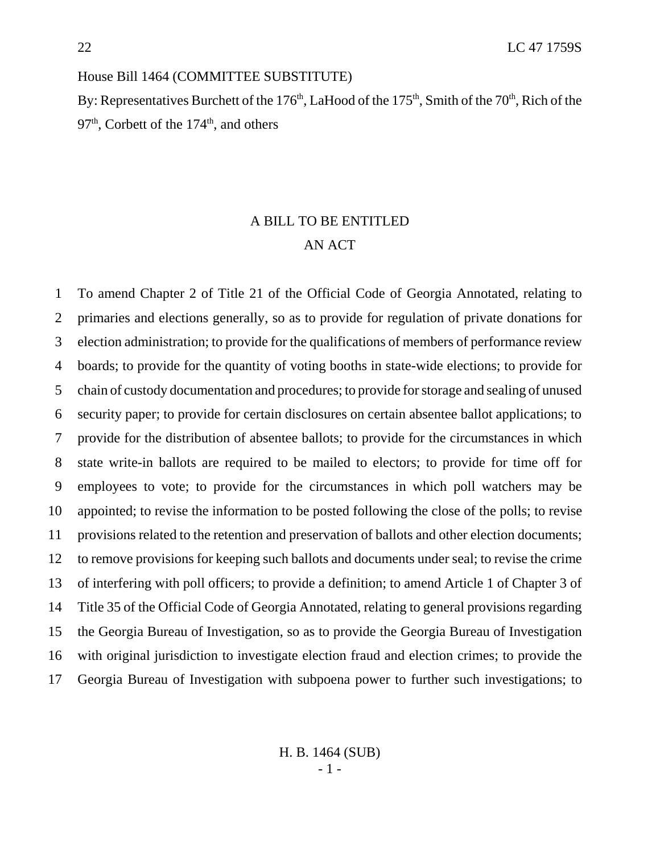House Bill 1464 (COMMITTEE SUBSTITUTE)

By: Representatives Burchett of the  $176<sup>th</sup>$ , LaHood of the  $175<sup>th</sup>$ , Smith of the  $70<sup>th</sup>$ , Rich of the  $97<sup>th</sup>$ , Corbett of the  $174<sup>th</sup>$ , and others

## A BILL TO BE ENTITLED AN ACT

 To amend Chapter 2 of Title 21 of the Official Code of Georgia Annotated, relating to primaries and elections generally, so as to provide for regulation of private donations for election administration; to provide for the qualifications of members of performance review boards; to provide for the quantity of voting booths in state-wide elections; to provide for chain of custody documentation and procedures; to provide for storage and sealing of unused security paper; to provide for certain disclosures on certain absentee ballot applications; to provide for the distribution of absentee ballots; to provide for the circumstances in which state write-in ballots are required to be mailed to electors; to provide for time off for employees to vote; to provide for the circumstances in which poll watchers may be appointed; to revise the information to be posted following the close of the polls; to revise provisions related to the retention and preservation of ballots and other election documents; to remove provisions for keeping such ballots and documents under seal; to revise the crime of interfering with poll officers; to provide a definition; to amend Article 1 of Chapter 3 of Title 35 of the Official Code of Georgia Annotated, relating to general provisions regarding the Georgia Bureau of Investigation, so as to provide the Georgia Bureau of Investigation with original jurisdiction to investigate election fraud and election crimes; to provide the Georgia Bureau of Investigation with subpoena power to further such investigations; to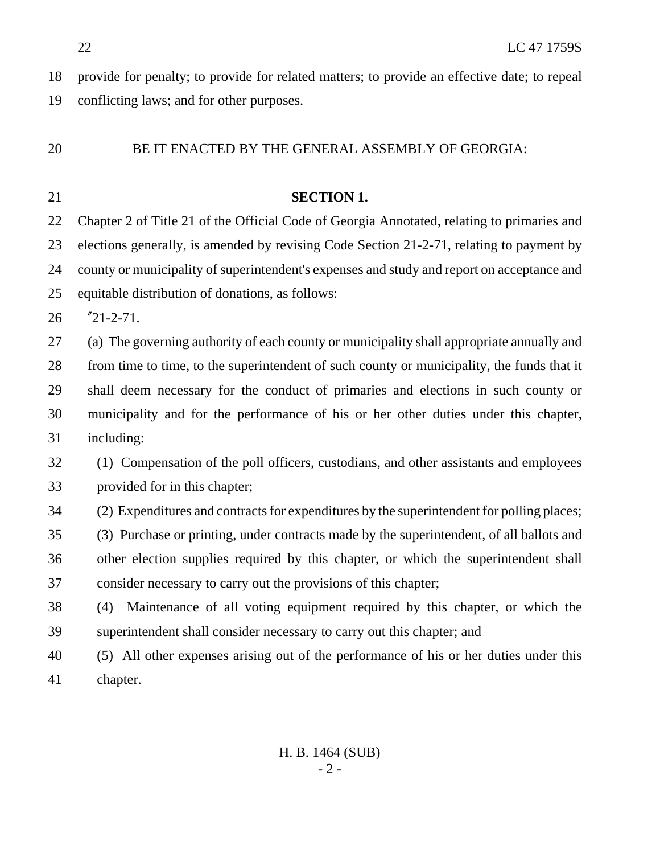provide for penalty; to provide for related matters; to provide an effective date; to repeal conflicting laws; and for other purposes.

## BE IT ENACTED BY THE GENERAL ASSEMBLY OF GEORGIA:

# **SECTION 1.** Chapter 2 of Title 21 of the Official Code of Georgia Annotated, relating to primaries and elections generally, is amended by revising Code Section 21-2-71, relating to payment by county or municipality of superintendent's expenses and study and report on acceptance and equitable distribution of donations, as follows: "21-2-71. (a) The governing authority of each county or municipality shall appropriate annually and 28 from time to time, to the superintendent of such county or municipality, the funds that it shall deem necessary for the conduct of primaries and elections in such county or municipality and for the performance of his or her other duties under this chapter, including: (1) Compensation of the poll officers, custodians, and other assistants and employees provided for in this chapter; (2) Expenditures and contracts for expenditures by the superintendent for polling places; (3) Purchase or printing, under contracts made by the superintendent, of all ballots and other election supplies required by this chapter, or which the superintendent shall consider necessary to carry out the provisions of this chapter; (4) Maintenance of all voting equipment required by this chapter, or which the superintendent shall consider necessary to carry out this chapter; and (5) All other expenses arising out of the performance of his or her duties under this chapter.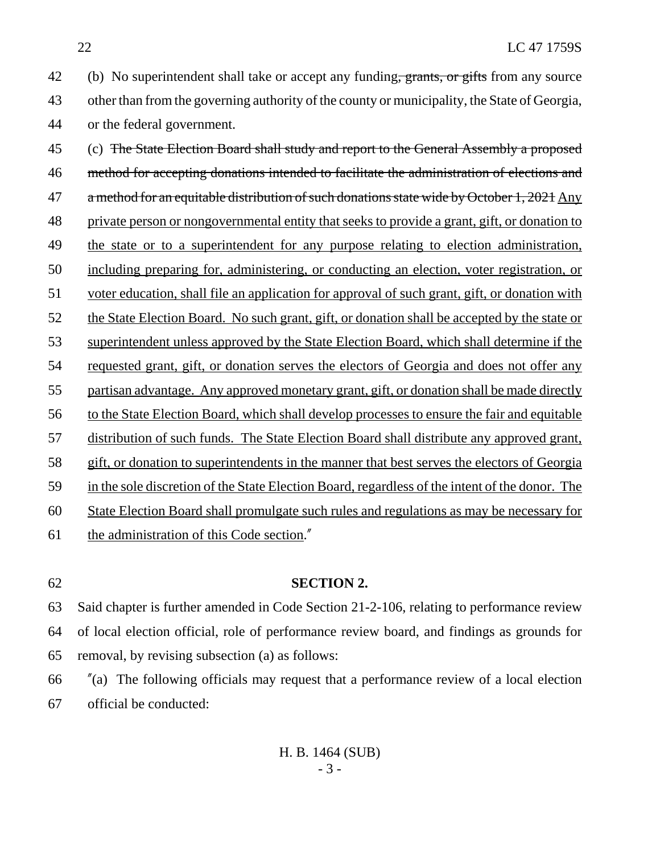42 (b) No superintendent shall take or accept any funding, grants, or gifts from any source other than from the governing authority of the county or municipality, the State of Georgia, or the federal government.

 (c) The State Election Board shall study and report to the General Assembly a proposed method for accepting donations intended to facilitate the administration of elections and 47 a method for an equitable distribution of such donations state wide by October 1, 2021 Any private person or nongovernmental entity that seeks to provide a grant, gift, or donation to the state or to a superintendent for any purpose relating to election administration, including preparing for, administering, or conducting an election, voter registration, or voter education, shall file an application for approval of such grant, gift, or donation with the State Election Board. No such grant, gift, or donation shall be accepted by the state or superintendent unless approved by the State Election Board, which shall determine if the 54 requested grant, gift, or donation serves the electors of Georgia and does not offer any partisan advantage. Any approved monetary grant, gift, or donation shall be made directly to the State Election Board, which shall develop processes to ensure the fair and equitable distribution of such funds. The State Election Board shall distribute any approved grant, gift, or donation to superintendents in the manner that best serves the electors of Georgia in the sole discretion of the State Election Board, regardless of the intent of the donor. The State Election Board shall promulgate such rules and regulations as may be necessary for the administration of this Code section."

#### **SECTION 2.**

 Said chapter is further amended in Code Section 21-2-106, relating to performance review of local election official, role of performance review board, and findings as grounds for removal, by revising subsection (a) as follows:

 "(a) The following officials may request that a performance review of a local election official be conducted:

> H. B. 1464 (SUB) - 3 -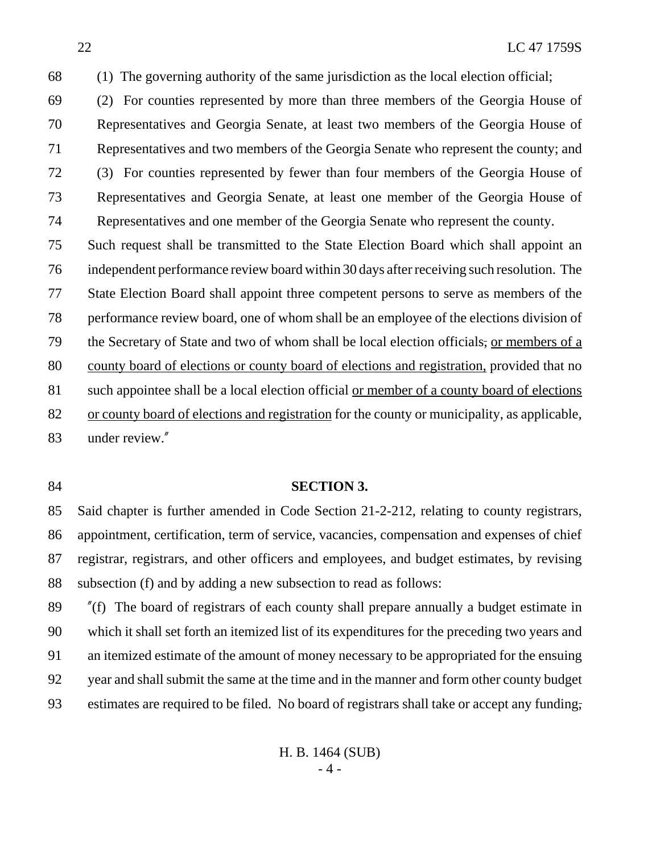(2) For counties represented by more than three members of the Georgia House of Representatives and Georgia Senate, at least two members of the Georgia House of Representatives and two members of the Georgia Senate who represent the county; and (3) For counties represented by fewer than four members of the Georgia House of Representatives and Georgia Senate, at least one member of the Georgia House of Representatives and one member of the Georgia Senate who represent the county.

 Such request shall be transmitted to the State Election Board which shall appoint an independent performance review board within 30 days after receiving such resolution. The State Election Board shall appoint three competent persons to serve as members of the performance review board, one of whom shall be an employee of the elections division of 79 the Secretary of State and two of whom shall be local election officials, or members of a 80 county board of elections or county board of elections and registration, provided that no such appointee shall be a local election official or member of a county board of elections or county board of elections and registration for the county or municipality, as applicable, under review."

### **SECTION 3.**

 Said chapter is further amended in Code Section 21-2-212, relating to county registrars, appointment, certification, term of service, vacancies, compensation and expenses of chief registrar, registrars, and other officers and employees, and budget estimates, by revising subsection (f) and by adding a new subsection to read as follows:

 "(f) The board of registrars of each county shall prepare annually a budget estimate in which it shall set forth an itemized list of its expenditures for the preceding two years and an itemized estimate of the amount of money necessary to be appropriated for the ensuing year and shall submit the same at the time and in the manner and form other county budget estimates are required to be filed. No board of registrars shall take or accept any funding,

> H. B. 1464 (SUB) - 4 -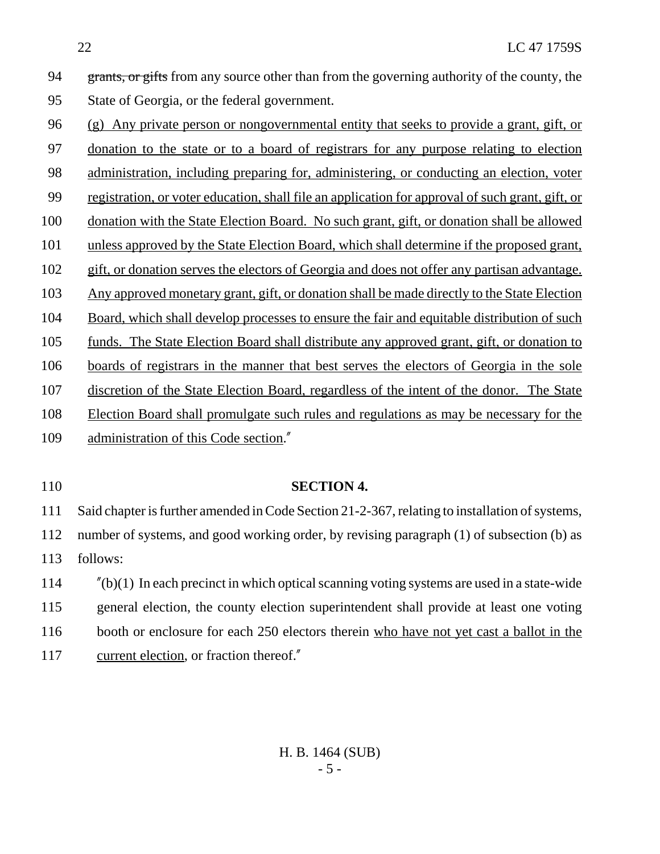94 grants, or gifts from any source other than from the governing authority of the county, the State of Georgia, or the federal government.

- (g) Any private person or nongovernmental entity that seeks to provide a grant, gift, or donation to the state or to a board of registrars for any purpose relating to election 98 administration, including preparing for, administering, or conducting an election, voter registration, or voter education, shall file an application for approval of such grant, gift, or donation with the State Election Board. No such grant, gift, or donation shall be allowed unless approved by the State Election Board, which shall determine if the proposed grant, gift, or donation serves the electors of Georgia and does not offer any partisan advantage. Any approved monetary grant, gift, or donation shall be made directly to the State Election 104 Board, which shall develop processes to ensure the fair and equitable distribution of such funds. The State Election Board shall distribute any approved grant, gift, or donation to boards of registrars in the manner that best serves the electors of Georgia in the sole discretion of the State Election Board, regardless of the intent of the donor. The State Election Board shall promulgate such rules and regulations as may be necessary for the administration of this Code section."
- 

#### **SECTION 4.**

 Said chapter is further amended in Code Section 21-2-367, relating to installation of systems, number of systems, and good working order, by revising paragraph (1) of subsection (b) as follows:

 "(b)(1) In each precinct in which optical scanning voting systems are used in a state-wide general election, the county election superintendent shall provide at least one voting booth or enclosure for each 250 electors therein who have not yet cast a ballot in the current election, or fraction thereof."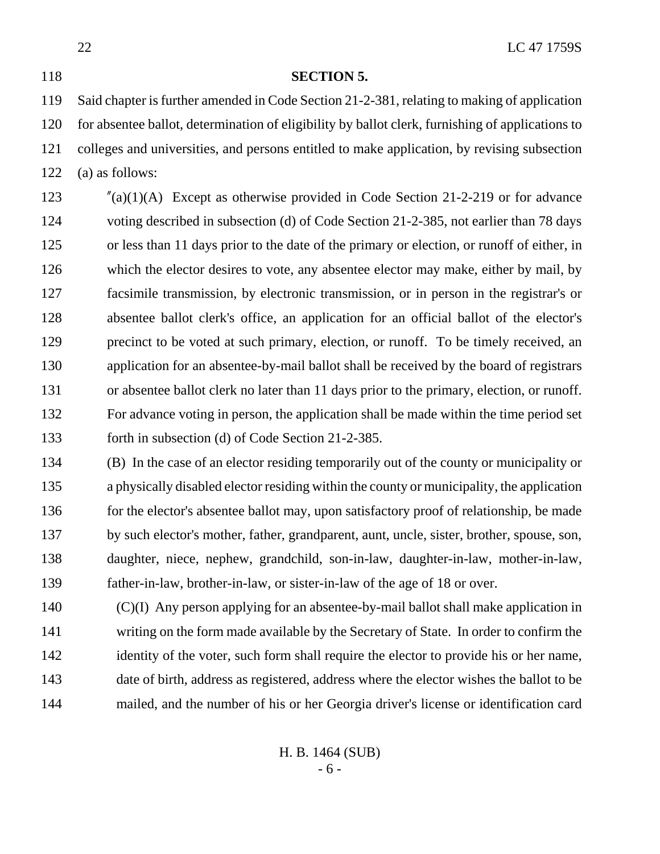**SECTION 5.**

 Said chapter is further amended in Code Section 21-2-381, relating to making of application for absentee ballot, determination of eligibility by ballot clerk, furnishing of applications to colleges and universities, and persons entitled to make application, by revising subsection (a) as follows:

 "(a)(1)(A) Except as otherwise provided in Code Section 21-2-219 or for advance voting described in subsection (d) of Code Section 21-2-385, not earlier than 78 days or less than 11 days prior to the date of the primary or election, or runoff of either, in which the elector desires to vote, any absentee elector may make, either by mail, by facsimile transmission, by electronic transmission, or in person in the registrar's or absentee ballot clerk's office, an application for an official ballot of the elector's 129 precinct to be voted at such primary, election, or runoff. To be timely received, an application for an absentee-by-mail ballot shall be received by the board of registrars or absentee ballot clerk no later than 11 days prior to the primary, election, or runoff. For advance voting in person, the application shall be made within the time period set forth in subsection (d) of Code Section 21-2-385.

 (B) In the case of an elector residing temporarily out of the county or municipality or a physically disabled elector residing within the county or municipality, the application 136 for the elector's absentee ballot may, upon satisfactory proof of relationship, be made by such elector's mother, father, grandparent, aunt, uncle, sister, brother, spouse, son, daughter, niece, nephew, grandchild, son-in-law, daughter-in-law, mother-in-law, father-in-law, brother-in-law, or sister-in-law of the age of 18 or over.

 (C)(I) Any person applying for an absentee-by-mail ballot shall make application in writing on the form made available by the Secretary of State. In order to confirm the 142 identity of the voter, such form shall require the elector to provide his or her name, date of birth, address as registered, address where the elector wishes the ballot to be mailed, and the number of his or her Georgia driver's license or identification card

> H. B. 1464 (SUB) - 6 -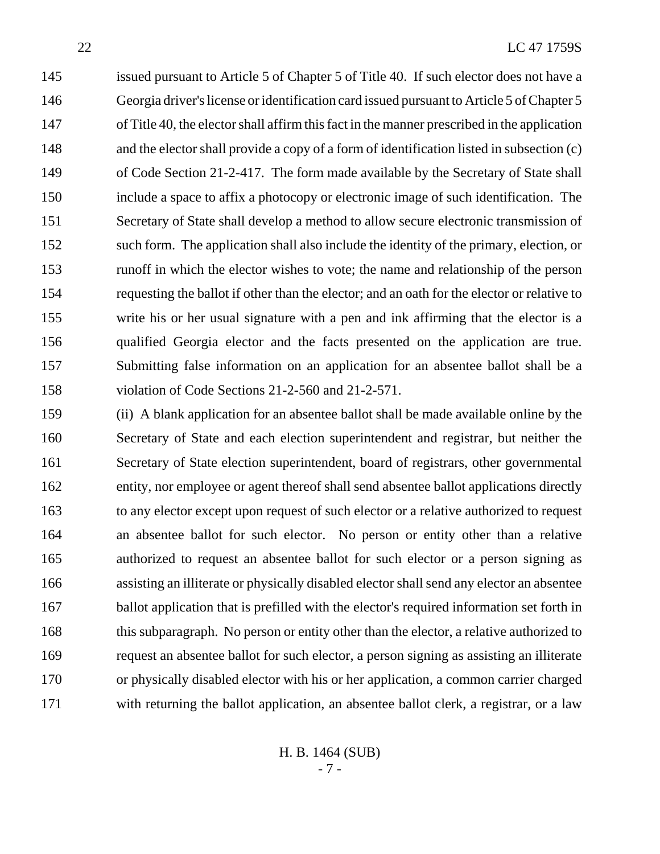issued pursuant to Article 5 of Chapter 5 of Title 40. If such elector does not have a Georgia driver's license or identification card issued pursuant to Article 5 of Chapter 5 of Title 40, the elector shall affirm this fact in the manner prescribed in the application 148 and the elector shall provide a copy of a form of identification listed in subsection (c) of Code Section 21-2-417. The form made available by the Secretary of State shall include a space to affix a photocopy or electronic image of such identification. The Secretary of State shall develop a method to allow secure electronic transmission of such form. The application shall also include the identity of the primary, election, or runoff in which the elector wishes to vote; the name and relationship of the person requesting the ballot if other than the elector; and an oath for the elector or relative to write his or her usual signature with a pen and ink affirming that the elector is a qualified Georgia elector and the facts presented on the application are true. Submitting false information on an application for an absentee ballot shall be a violation of Code Sections 21-2-560 and 21-2-571.

 (ii) A blank application for an absentee ballot shall be made available online by the Secretary of State and each election superintendent and registrar, but neither the Secretary of State election superintendent, board of registrars, other governmental entity, nor employee or agent thereof shall send absentee ballot applications directly to any elector except upon request of such elector or a relative authorized to request an absentee ballot for such elector. No person or entity other than a relative authorized to request an absentee ballot for such elector or a person signing as assisting an illiterate or physically disabled elector shall send any elector an absentee 167 ballot application that is prefilled with the elector's required information set forth in 168 this subparagraph. No person or entity other than the elector, a relative authorized to request an absentee ballot for such elector, a person signing as assisting an illiterate or physically disabled elector with his or her application, a common carrier charged with returning the ballot application, an absentee ballot clerk, a registrar, or a law

> H. B. 1464 (SUB) - 7 -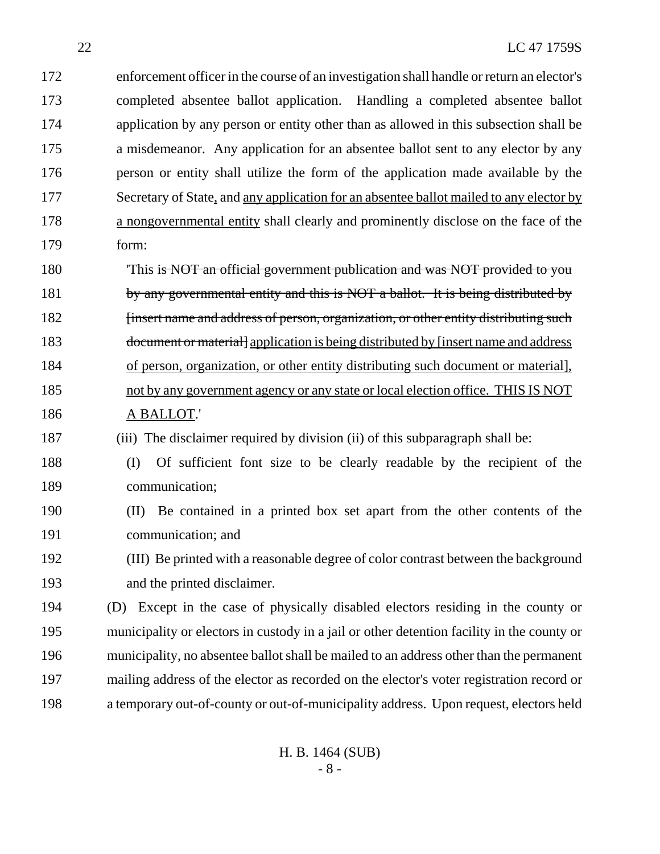22 LC 47 1759S enforcement officer in the course of an investigation shall handle or return an elector's completed absentee ballot application. Handling a completed absentee ballot application by any person or entity other than as allowed in this subsection shall be a misdemeanor. Any application for an absentee ballot sent to any elector by any person or entity shall utilize the form of the application made available by the 177 Secretary of State, and any application for an absentee ballot mailed to any elector by a nongovernmental entity shall clearly and prominently disclose on the face of the form: 'This is NOT an official government publication and was NOT provided to you 181 by any governmental entity and this is NOT a ballot. It is being distributed by *insert name and address of person, organization, or other entity distributing such* 183 document or material supplication is being distributed by [insert name and address of person, organization, or other entity distributing such document or material], not by any government agency or any state or local election office. THIS IS NOT A BALLOT.' (iii) The disclaimer required by division (ii) of this subparagraph shall be: (I) Of sufficient font size to be clearly readable by the recipient of the communication; (II) Be contained in a printed box set apart from the other contents of the communication; and (III) Be printed with a reasonable degree of color contrast between the background and the printed disclaimer. (D) Except in the case of physically disabled electors residing in the county or municipality or electors in custody in a jail or other detention facility in the county or municipality, no absentee ballot shall be mailed to an address other than the permanent

 mailing address of the elector as recorded on the elector's voter registration record or a temporary out-of-county or out-of-municipality address. Upon request, electors held

> H. B. 1464 (SUB) - 8 -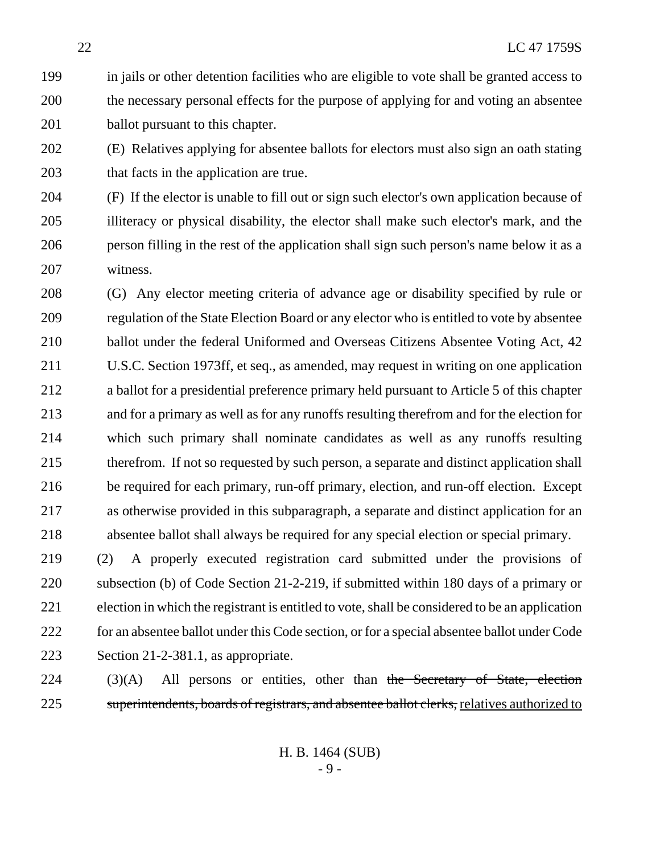in jails or other detention facilities who are eligible to vote shall be granted access to the necessary personal effects for the purpose of applying for and voting an absentee 201 ballot pursuant to this chapter.

 (E) Relatives applying for absentee ballots for electors must also sign an oath stating 203 that facts in the application are true.

 (F) If the elector is unable to fill out or sign such elector's own application because of illiteracy or physical disability, the elector shall make such elector's mark, and the person filling in the rest of the application shall sign such person's name below it as a witness.

 (G) Any elector meeting criteria of advance age or disability specified by rule or regulation of the State Election Board or any elector who is entitled to vote by absentee ballot under the federal Uniformed and Overseas Citizens Absentee Voting Act, 42 U.S.C. Section 1973ff, et seq., as amended, may request in writing on one application a ballot for a presidential preference primary held pursuant to Article 5 of this chapter and for a primary as well as for any runoffs resulting therefrom and for the election for which such primary shall nominate candidates as well as any runoffs resulting therefrom. If not so requested by such person, a separate and distinct application shall be required for each primary, run-off primary, election, and run-off election. Except as otherwise provided in this subparagraph, a separate and distinct application for an absentee ballot shall always be required for any special election or special primary.

 (2) A properly executed registration card submitted under the provisions of subsection (b) of Code Section 21-2-219, if submitted within 180 days of a primary or election in which the registrant is entitled to vote, shall be considered to be an application for an absentee ballot under this Code section, or for a special absentee ballot under Code Section 21-2-381.1, as appropriate.

 (3)(A) All persons or entities, other than the Secretary of State, election 225 superintendents, boards of registrars, and absentee ballot clerks, relatives authorized to

> H. B. 1464 (SUB) - 9 -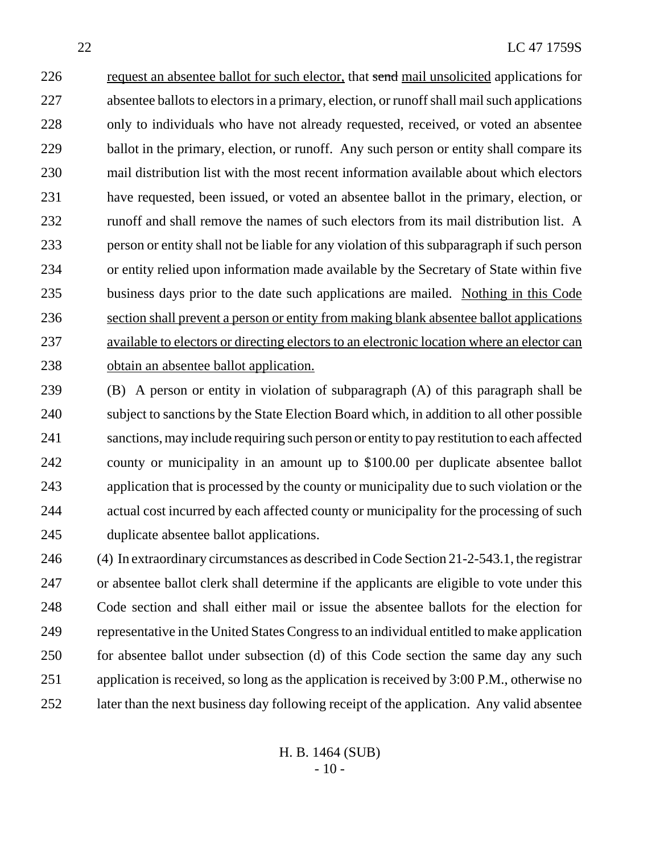226 request an absentee ballot for such elector, that send mail unsolicited applications for absentee ballots to electors in a primary, election, or runoff shall mail such applications only to individuals who have not already requested, received, or voted an absentee 229 ballot in the primary, election, or runoff. Any such person or entity shall compare its mail distribution list with the most recent information available about which electors have requested, been issued, or voted an absentee ballot in the primary, election, or runoff and shall remove the names of such electors from its mail distribution list. A person or entity shall not be liable for any violation of this subparagraph if such person or entity relied upon information made available by the Secretary of State within five business days prior to the date such applications are mailed. Nothing in this Code section shall prevent a person or entity from making blank absentee ballot applications available to electors or directing electors to an electronic location where an elector can obtain an absentee ballot application.

 (B) A person or entity in violation of subparagraph (A) of this paragraph shall be subject to sanctions by the State Election Board which, in addition to all other possible sanctions, may include requiring such person or entity to pay restitution to each affected county or municipality in an amount up to \$100.00 per duplicate absentee ballot application that is processed by the county or municipality due to such violation or the actual cost incurred by each affected county or municipality for the processing of such duplicate absentee ballot applications.

 (4) In extraordinary circumstances as described in Code Section 21-2-543.1, the registrar or absentee ballot clerk shall determine if the applicants are eligible to vote under this Code section and shall either mail or issue the absentee ballots for the election for representative in the United States Congress to an individual entitled to make application 250 for absentee ballot under subsection (d) of this Code section the same day any such application is received, so long as the application is received by 3:00 P.M., otherwise no later than the next business day following receipt of the application. Any valid absentee

> H. B. 1464 (SUB)  $-10-$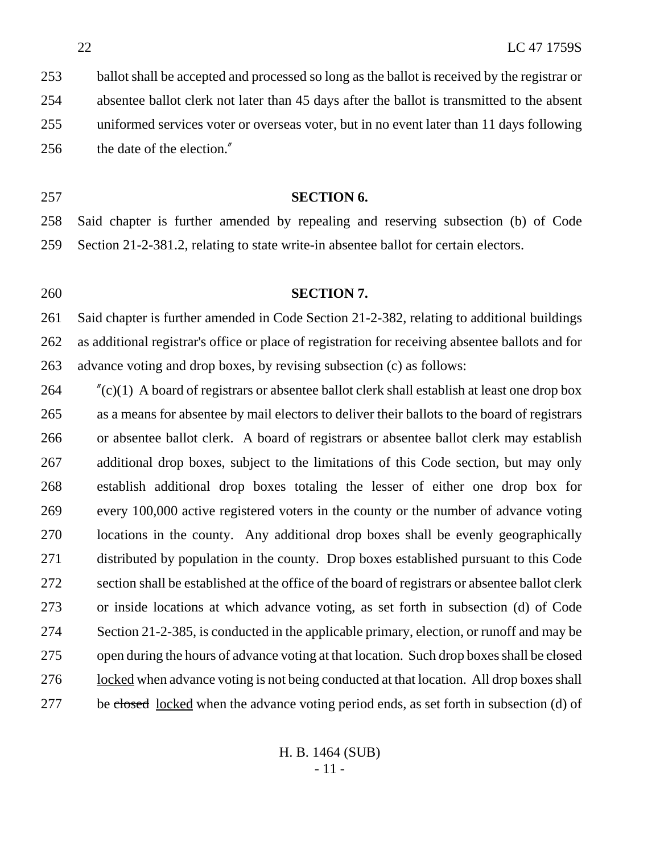ballot shall be accepted and processed so long as the ballot is received by the registrar or absentee ballot clerk not later than 45 days after the ballot is transmitted to the absent uniformed services voter or overseas voter, but in no event later than 11 days following the date of the election."

#### **SECTION 6.**

 Said chapter is further amended by repealing and reserving subsection (b) of Code Section 21-2-381.2, relating to state write-in absentee ballot for certain electors.

#### **SECTION 7.**

 Said chapter is further amended in Code Section 21-2-382, relating to additional buildings as additional registrar's office or place of registration for receiving absentee ballots and for advance voting and drop boxes, by revising subsection (c) as follows:

 "(c)(1) A board of registrars or absentee ballot clerk shall establish at least one drop box as a means for absentee by mail electors to deliver their ballots to the board of registrars or absentee ballot clerk. A board of registrars or absentee ballot clerk may establish additional drop boxes, subject to the limitations of this Code section, but may only establish additional drop boxes totaling the lesser of either one drop box for every 100,000 active registered voters in the county or the number of advance voting locations in the county. Any additional drop boxes shall be evenly geographically distributed by population in the county. Drop boxes established pursuant to this Code section shall be established at the office of the board of registrars or absentee ballot clerk or inside locations at which advance voting, as set forth in subsection (d) of Code Section 21-2-385, is conducted in the applicable primary, election, or runoff and may be 275 open during the hours of advance voting at that location. Such drop boxes shall be closed locked when advance voting is not being conducted at that location. All drop boxes shall 277 be closed <u>locked</u> when the advance voting period ends, as set forth in subsection (d) of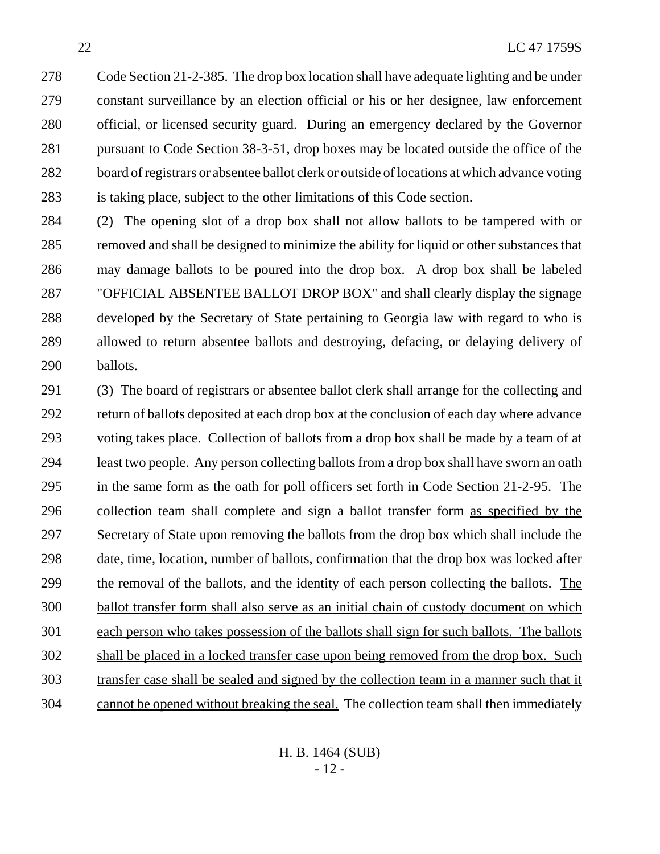Code Section 21-2-385. The drop box location shall have adequate lighting and be under constant surveillance by an election official or his or her designee, law enforcement official, or licensed security guard. During an emergency declared by the Governor pursuant to Code Section 38-3-51, drop boxes may be located outside the office of the board of registrars or absentee ballot clerk or outside of locations at which advance voting is taking place, subject to the other limitations of this Code section.

 (2) The opening slot of a drop box shall not allow ballots to be tampered with or removed and shall be designed to minimize the ability for liquid or other substances that may damage ballots to be poured into the drop box. A drop box shall be labeled "OFFICIAL ABSENTEE BALLOT DROP BOX" and shall clearly display the signage developed by the Secretary of State pertaining to Georgia law with regard to who is allowed to return absentee ballots and destroying, defacing, or delaying delivery of ballots.

 (3) The board of registrars or absentee ballot clerk shall arrange for the collecting and return of ballots deposited at each drop box at the conclusion of each day where advance voting takes place. Collection of ballots from a drop box shall be made by a team of at least two people. Any person collecting ballots from a drop box shall have sworn an oath in the same form as the oath for poll officers set forth in Code Section 21-2-95. The collection team shall complete and sign a ballot transfer form as specified by the Secretary of State upon removing the ballots from the drop box which shall include the date, time, location, number of ballots, confirmation that the drop box was locked after the removal of the ballots, and the identity of each person collecting the ballots. The ballot transfer form shall also serve as an initial chain of custody document on which each person who takes possession of the ballots shall sign for such ballots. The ballots shall be placed in a locked transfer case upon being removed from the drop box. Such transfer case shall be sealed and signed by the collection team in a manner such that it cannot be opened without breaking the seal. The collection team shall then immediately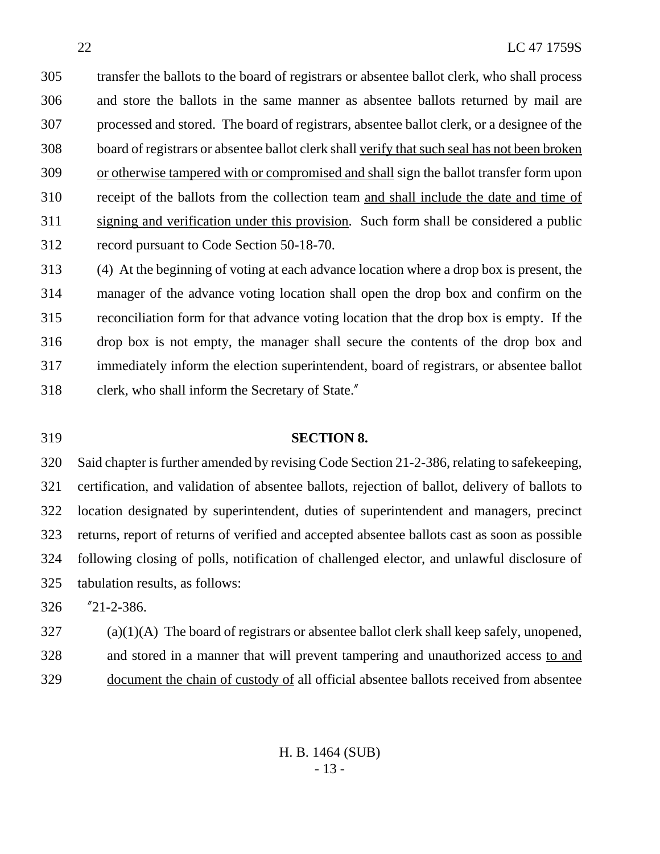transfer the ballots to the board of registrars or absentee ballot clerk, who shall process and store the ballots in the same manner as absentee ballots returned by mail are processed and stored. The board of registrars, absentee ballot clerk, or a designee of the board of registrars or absentee ballot clerk shall verify that such seal has not been broken or otherwise tampered with or compromised and shall sign the ballot transfer form upon receipt of the ballots from the collection team and shall include the date and time of signing and verification under this provision. Such form shall be considered a public record pursuant to Code Section 50-18-70.

 (4) At the beginning of voting at each advance location where a drop box is present, the manager of the advance voting location shall open the drop box and confirm on the reconciliation form for that advance voting location that the drop box is empty. If the drop box is not empty, the manager shall secure the contents of the drop box and immediately inform the election superintendent, board of registrars, or absentee ballot clerk, who shall inform the Secretary of State."

#### **SECTION 8.**

 Said chapter is further amended by revising Code Section 21-2-386, relating to safekeeping, certification, and validation of absentee ballots, rejection of ballot, delivery of ballots to location designated by superintendent, duties of superintendent and managers, precinct returns, report of returns of verified and accepted absentee ballots cast as soon as possible following closing of polls, notification of challenged elector, and unlawful disclosure of tabulation results, as follows:

"21-2-386.

 (a)(1)(A) The board of registrars or absentee ballot clerk shall keep safely, unopened, and stored in a manner that will prevent tampering and unauthorized access to and document the chain of custody of all official absentee ballots received from absentee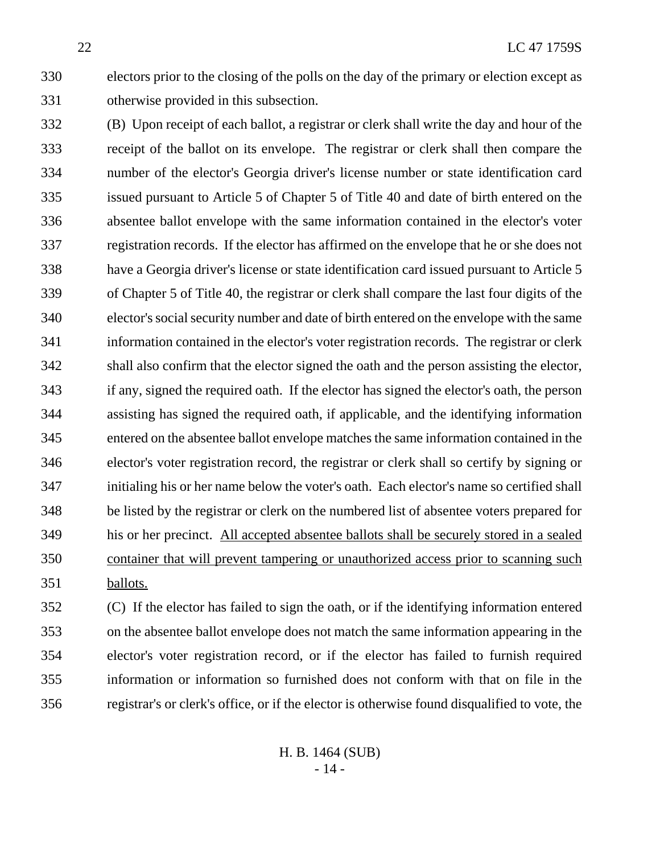electors prior to the closing of the polls on the day of the primary or election except as otherwise provided in this subsection.

 (B) Upon receipt of each ballot, a registrar or clerk shall write the day and hour of the receipt of the ballot on its envelope. The registrar or clerk shall then compare the number of the elector's Georgia driver's license number or state identification card issued pursuant to Article 5 of Chapter 5 of Title 40 and date of birth entered on the absentee ballot envelope with the same information contained in the elector's voter registration records. If the elector has affirmed on the envelope that he or she does not have a Georgia driver's license or state identification card issued pursuant to Article 5 of Chapter 5 of Title 40, the registrar or clerk shall compare the last four digits of the elector's social security number and date of birth entered on the envelope with the same information contained in the elector's voter registration records. The registrar or clerk shall also confirm that the elector signed the oath and the person assisting the elector, if any, signed the required oath. If the elector has signed the elector's oath, the person assisting has signed the required oath, if applicable, and the identifying information entered on the absentee ballot envelope matches the same information contained in the elector's voter registration record, the registrar or clerk shall so certify by signing or initialing his or her name below the voter's oath. Each elector's name so certified shall be listed by the registrar or clerk on the numbered list of absentee voters prepared for his or her precinct. All accepted absentee ballots shall be securely stored in a sealed container that will prevent tampering or unauthorized access prior to scanning such ballots.

 (C) If the elector has failed to sign the oath, or if the identifying information entered on the absentee ballot envelope does not match the same information appearing in the elector's voter registration record, or if the elector has failed to furnish required information or information so furnished does not conform with that on file in the registrar's or clerk's office, or if the elector is otherwise found disqualified to vote, the

> H. B. 1464 (SUB) - 14 -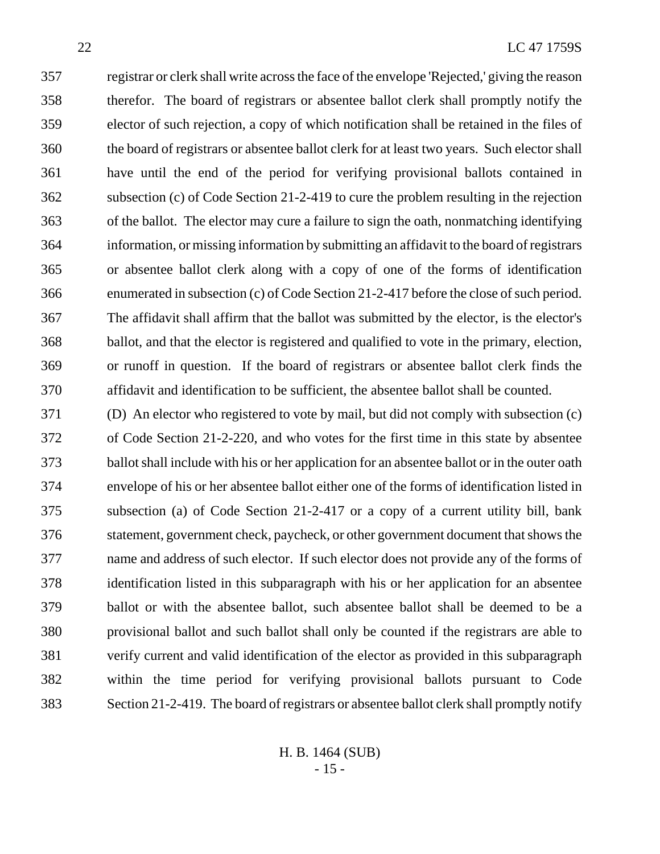registrar or clerk shall write across the face of the envelope 'Rejected,' giving the reason therefor. The board of registrars or absentee ballot clerk shall promptly notify the elector of such rejection, a copy of which notification shall be retained in the files of the board of registrars or absentee ballot clerk for at least two years. Such elector shall have until the end of the period for verifying provisional ballots contained in subsection (c) of Code Section 21-2-419 to cure the problem resulting in the rejection of the ballot. The elector may cure a failure to sign the oath, nonmatching identifying information, or missing information by submitting an affidavit to the board of registrars or absentee ballot clerk along with a copy of one of the forms of identification enumerated in subsection (c) of Code Section 21-2-417 before the close of such period. The affidavit shall affirm that the ballot was submitted by the elector, is the elector's ballot, and that the elector is registered and qualified to vote in the primary, election, or runoff in question. If the board of registrars or absentee ballot clerk finds the affidavit and identification to be sufficient, the absentee ballot shall be counted.

 (D) An elector who registered to vote by mail, but did not comply with subsection (c) of Code Section 21-2-220, and who votes for the first time in this state by absentee ballot shall include with his or her application for an absentee ballot or in the outer oath envelope of his or her absentee ballot either one of the forms of identification listed in subsection (a) of Code Section 21-2-417 or a copy of a current utility bill, bank statement, government check, paycheck, or other government document that shows the name and address of such elector. If such elector does not provide any of the forms of identification listed in this subparagraph with his or her application for an absentee ballot or with the absentee ballot, such absentee ballot shall be deemed to be a provisional ballot and such ballot shall only be counted if the registrars are able to verify current and valid identification of the elector as provided in this subparagraph within the time period for verifying provisional ballots pursuant to Code Section 21-2-419. The board of registrars or absentee ballot clerk shall promptly notify

> H. B. 1464 (SUB) - 15 -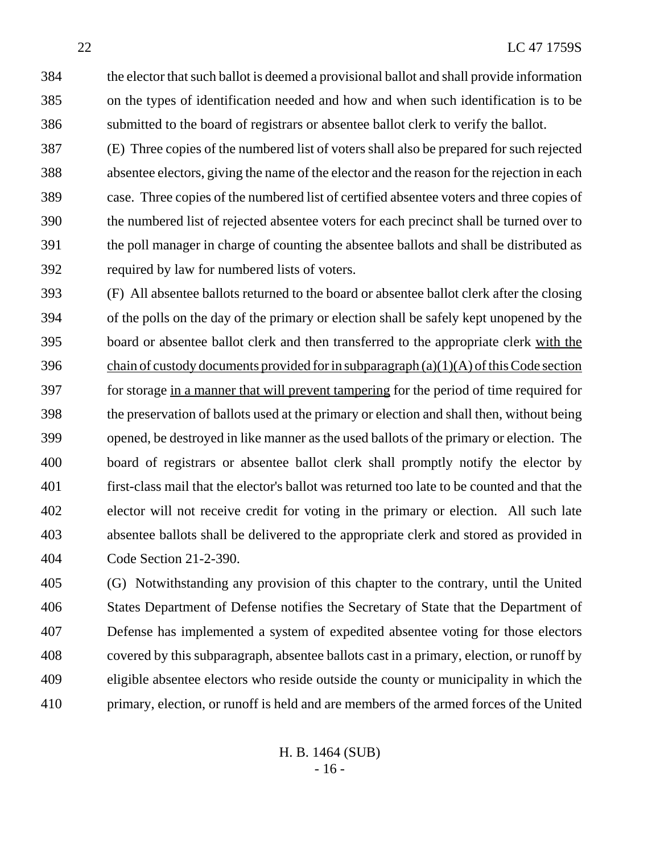the elector that such ballot is deemed a provisional ballot and shall provide information on the types of identification needed and how and when such identification is to be submitted to the board of registrars or absentee ballot clerk to verify the ballot.

 (E) Three copies of the numbered list of voters shall also be prepared for such rejected absentee electors, giving the name of the elector and the reason for the rejection in each case. Three copies of the numbered list of certified absentee voters and three copies of the numbered list of rejected absentee voters for each precinct shall be turned over to the poll manager in charge of counting the absentee ballots and shall be distributed as required by law for numbered lists of voters.

 (F) All absentee ballots returned to the board or absentee ballot clerk after the closing of the polls on the day of the primary or election shall be safely kept unopened by the board or absentee ballot clerk and then transferred to the appropriate clerk with the 396 chain of custody documents provided for in subparagraph  $(a)(1)(A)$  of this Code section for storage in a manner that will prevent tampering for the period of time required for the preservation of ballots used at the primary or election and shall then, without being opened, be destroyed in like manner as the used ballots of the primary or election. The board of registrars or absentee ballot clerk shall promptly notify the elector by first-class mail that the elector's ballot was returned too late to be counted and that the elector will not receive credit for voting in the primary or election. All such late absentee ballots shall be delivered to the appropriate clerk and stored as provided in Code Section 21-2-390.

 (G) Notwithstanding any provision of this chapter to the contrary, until the United States Department of Defense notifies the Secretary of State that the Department of Defense has implemented a system of expedited absentee voting for those electors covered by this subparagraph, absentee ballots cast in a primary, election, or runoff by eligible absentee electors who reside outside the county or municipality in which the primary, election, or runoff is held and are members of the armed forces of the United

> H. B. 1464 (SUB) - 16 -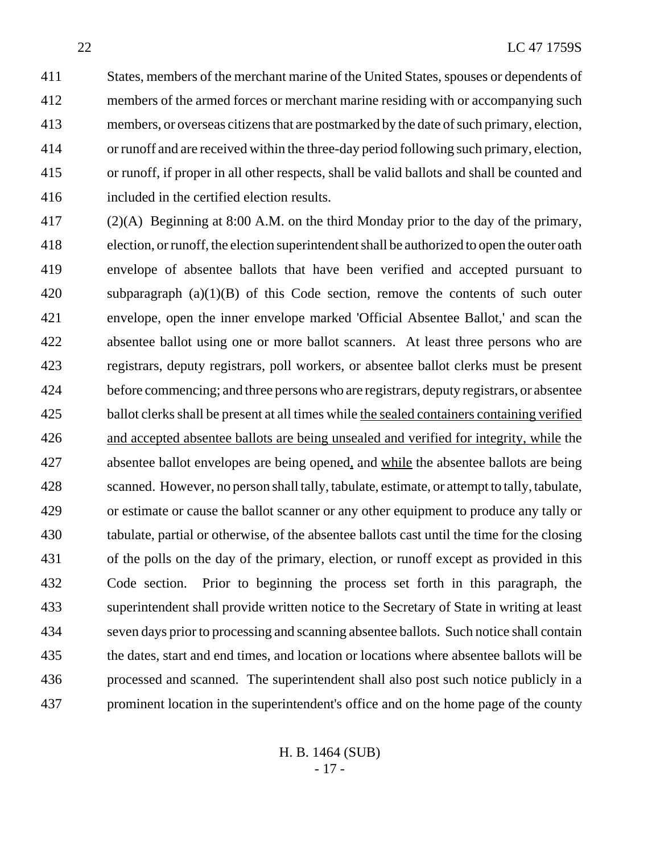States, members of the merchant marine of the United States, spouses or dependents of members of the armed forces or merchant marine residing with or accompanying such members, or overseas citizens that are postmarked by the date of such primary, election, or runoff and are received within the three-day period following such primary, election, or runoff, if proper in all other respects, shall be valid ballots and shall be counted and included in the certified election results.

 (2)(A) Beginning at 8:00 A.M. on the third Monday prior to the day of the primary, election, or runoff, the election superintendent shall be authorized to open the outer oath envelope of absentee ballots that have been verified and accepted pursuant to subparagraph (a)(1)(B) of this Code section, remove the contents of such outer envelope, open the inner envelope marked 'Official Absentee Ballot,' and scan the absentee ballot using one or more ballot scanners. At least three persons who are registrars, deputy registrars, poll workers, or absentee ballot clerks must be present before commencing; and three persons who are registrars, deputy registrars, or absentee ballot clerks shall be present at all times while the sealed containers containing verified and accepted absentee ballots are being unsealed and verified for integrity, while the absentee ballot envelopes are being opened, and while the absentee ballots are being scanned. However, no person shall tally, tabulate, estimate, or attempt to tally, tabulate, or estimate or cause the ballot scanner or any other equipment to produce any tally or tabulate, partial or otherwise, of the absentee ballots cast until the time for the closing of the polls on the day of the primary, election, or runoff except as provided in this Code section. Prior to beginning the process set forth in this paragraph, the superintendent shall provide written notice to the Secretary of State in writing at least seven days prior to processing and scanning absentee ballots. Such notice shall contain the dates, start and end times, and location or locations where absentee ballots will be processed and scanned. The superintendent shall also post such notice publicly in a prominent location in the superintendent's office and on the home page of the county

> H. B. 1464 (SUB) - 17 -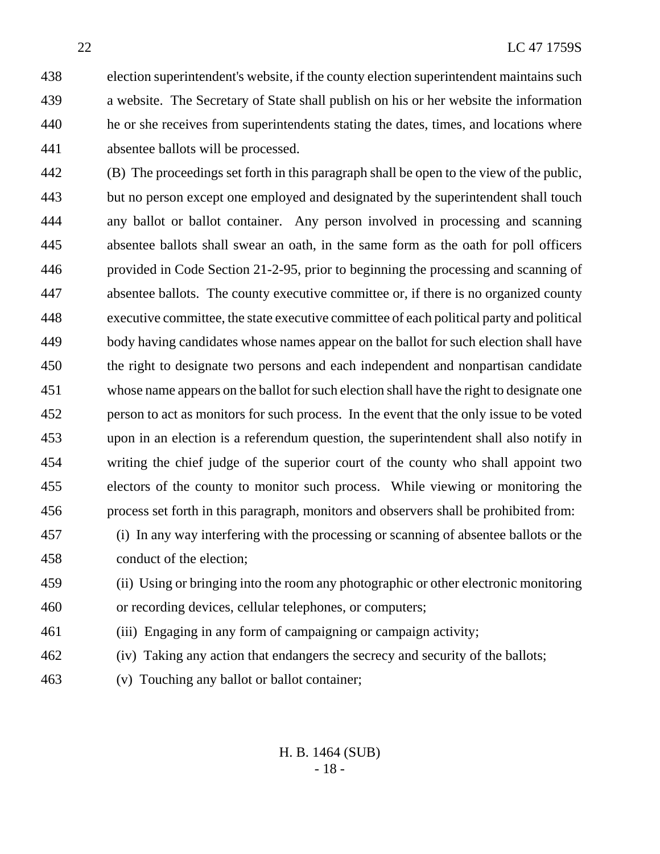election superintendent's website, if the county election superintendent maintains such a website. The Secretary of State shall publish on his or her website the information he or she receives from superintendents stating the dates, times, and locations where absentee ballots will be processed.

 (B) The proceedings set forth in this paragraph shall be open to the view of the public, but no person except one employed and designated by the superintendent shall touch any ballot or ballot container. Any person involved in processing and scanning absentee ballots shall swear an oath, in the same form as the oath for poll officers provided in Code Section 21-2-95, prior to beginning the processing and scanning of absentee ballots. The county executive committee or, if there is no organized county executive committee, the state executive committee of each political party and political body having candidates whose names appear on the ballot for such election shall have the right to designate two persons and each independent and nonpartisan candidate whose name appears on the ballot for such election shall have the right to designate one person to act as monitors for such process. In the event that the only issue to be voted upon in an election is a referendum question, the superintendent shall also notify in writing the chief judge of the superior court of the county who shall appoint two electors of the county to monitor such process. While viewing or monitoring the process set forth in this paragraph, monitors and observers shall be prohibited from:

 (i) In any way interfering with the processing or scanning of absentee ballots or the conduct of the election;

 (ii) Using or bringing into the room any photographic or other electronic monitoring or recording devices, cellular telephones, or computers;

- (iii) Engaging in any form of campaigning or campaign activity;
- (iv) Taking any action that endangers the secrecy and security of the ballots;
- (v) Touching any ballot or ballot container;

H. B. 1464 (SUB) - 18 -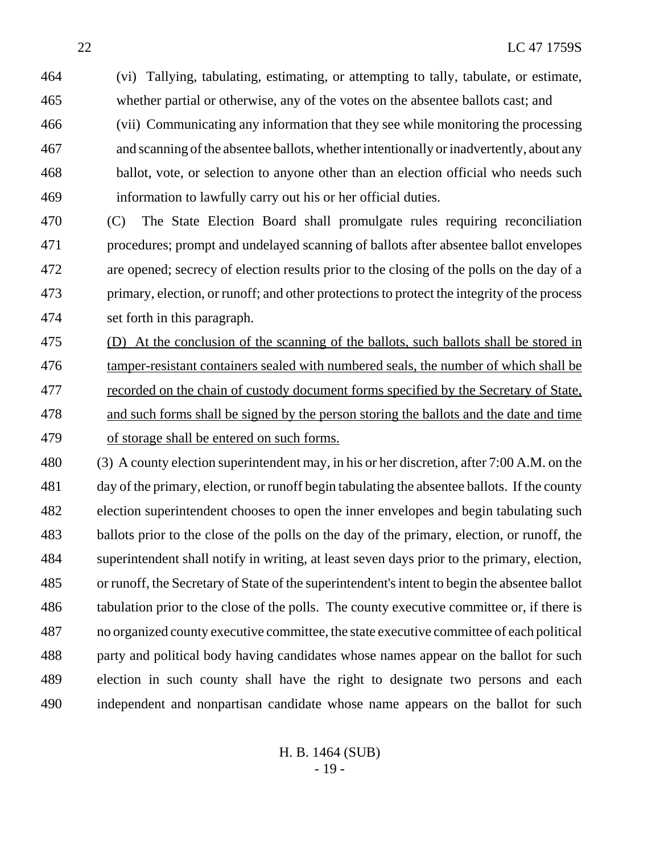(vi) Tallying, tabulating, estimating, or attempting to tally, tabulate, or estimate, whether partial or otherwise, any of the votes on the absentee ballots cast; and

- (vii) Communicating any information that they see while monitoring the processing and scanning of the absentee ballots, whether intentionally or inadvertently, about any ballot, vote, or selection to anyone other than an election official who needs such information to lawfully carry out his or her official duties.
- (C) The State Election Board shall promulgate rules requiring reconciliation procedures; prompt and undelayed scanning of ballots after absentee ballot envelopes are opened; secrecy of election results prior to the closing of the polls on the day of a primary, election, or runoff; and other protections to protect the integrity of the process set forth in this paragraph.
- (D) At the conclusion of the scanning of the ballots, such ballots shall be stored in 476 tamper-resistant containers sealed with numbered seals, the number of which shall be recorded on the chain of custody document forms specified by the Secretary of State, and such forms shall be signed by the person storing the ballots and the date and time of storage shall be entered on such forms.
- (3) A county election superintendent may, in his or her discretion, after 7:00 A.M. on the day of the primary, election, or runoff begin tabulating the absentee ballots. If the county election superintendent chooses to open the inner envelopes and begin tabulating such ballots prior to the close of the polls on the day of the primary, election, or runoff, the superintendent shall notify in writing, at least seven days prior to the primary, election, or runoff, the Secretary of State of the superintendent's intent to begin the absentee ballot tabulation prior to the close of the polls. The county executive committee or, if there is no organized county executive committee, the state executive committee of each political party and political body having candidates whose names appear on the ballot for such election in such county shall have the right to designate two persons and each independent and nonpartisan candidate whose name appears on the ballot for such
	- H. B. 1464 (SUB) - 19 -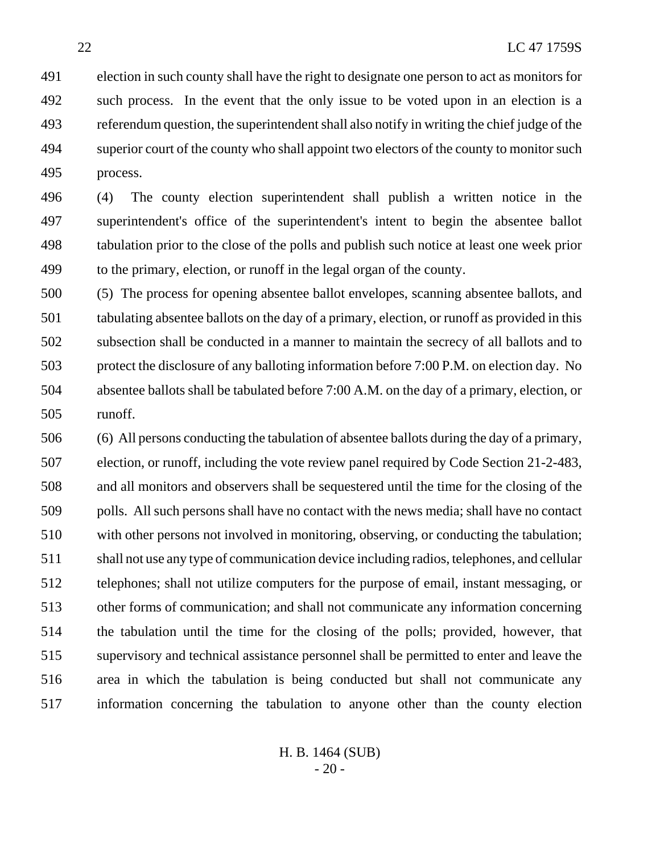election in such county shall have the right to designate one person to act as monitors for such process. In the event that the only issue to be voted upon in an election is a referendum question, the superintendent shall also notify in writing the chief judge of the 494 superior court of the county who shall appoint two electors of the county to monitor such process.

 (4) The county election superintendent shall publish a written notice in the superintendent's office of the superintendent's intent to begin the absentee ballot tabulation prior to the close of the polls and publish such notice at least one week prior to the primary, election, or runoff in the legal organ of the county.

 (5) The process for opening absentee ballot envelopes, scanning absentee ballots, and tabulating absentee ballots on the day of a primary, election, or runoff as provided in this subsection shall be conducted in a manner to maintain the secrecy of all ballots and to protect the disclosure of any balloting information before 7:00 P.M. on election day. No absentee ballots shall be tabulated before 7:00 A.M. on the day of a primary, election, or runoff.

 (6) All persons conducting the tabulation of absentee ballots during the day of a primary, election, or runoff, including the vote review panel required by Code Section 21-2-483, and all monitors and observers shall be sequestered until the time for the closing of the polls. All such persons shall have no contact with the news media; shall have no contact with other persons not involved in monitoring, observing, or conducting the tabulation; shall not use any type of communication device including radios, telephones, and cellular telephones; shall not utilize computers for the purpose of email, instant messaging, or other forms of communication; and shall not communicate any information concerning the tabulation until the time for the closing of the polls; provided, however, that supervisory and technical assistance personnel shall be permitted to enter and leave the area in which the tabulation is being conducted but shall not communicate any information concerning the tabulation to anyone other than the county election

> H. B. 1464 (SUB)  $-20-$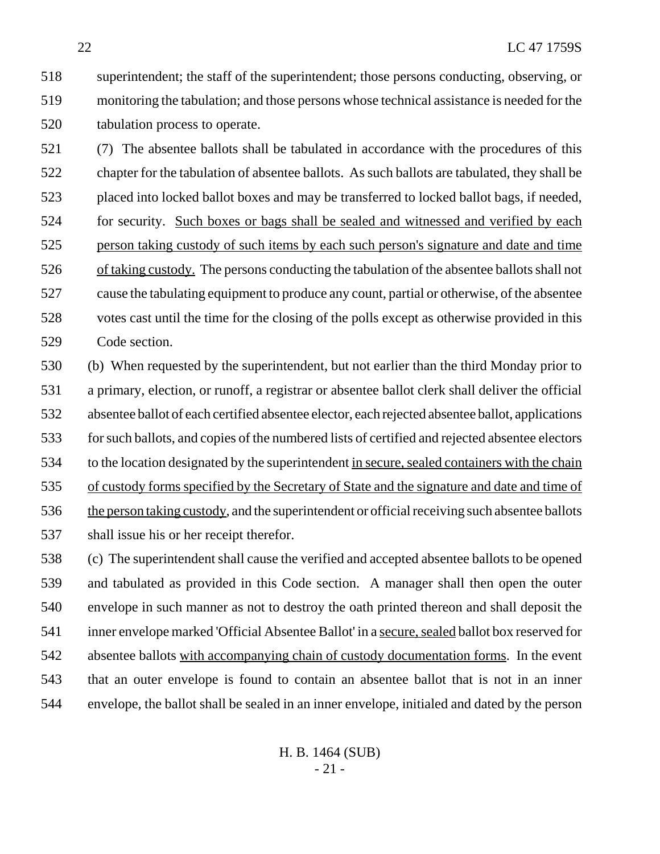superintendent; the staff of the superintendent; those persons conducting, observing, or monitoring the tabulation; and those persons whose technical assistance is needed for the tabulation process to operate.

 (7) The absentee ballots shall be tabulated in accordance with the procedures of this chapter for the tabulation of absentee ballots. As such ballots are tabulated, they shall be placed into locked ballot boxes and may be transferred to locked ballot bags, if needed, for security. Such boxes or bags shall be sealed and witnessed and verified by each person taking custody of such items by each such person's signature and date and time of taking custody. The persons conducting the tabulation of the absentee ballots shall not cause the tabulating equipment to produce any count, partial or otherwise, of the absentee votes cast until the time for the closing of the polls except as otherwise provided in this Code section.

 (b) When requested by the superintendent, but not earlier than the third Monday prior to a primary, election, or runoff, a registrar or absentee ballot clerk shall deliver the official absentee ballot of each certified absentee elector, each rejected absentee ballot, applications for such ballots, and copies of the numbered lists of certified and rejected absentee electors to the location designated by the superintendent in secure, sealed containers with the chain of custody forms specified by the Secretary of State and the signature and date and time of 536 the person taking custody, and the superintendent or official receiving such absentee ballots shall issue his or her receipt therefor.

 (c) The superintendent shall cause the verified and accepted absentee ballots to be opened and tabulated as provided in this Code section. A manager shall then open the outer envelope in such manner as not to destroy the oath printed thereon and shall deposit the inner envelope marked 'Official Absentee Ballot' in a secure, sealed ballot box reserved for absentee ballots with accompanying chain of custody documentation forms. In the event that an outer envelope is found to contain an absentee ballot that is not in an inner envelope, the ballot shall be sealed in an inner envelope, initialed and dated by the person

> H. B. 1464 (SUB) - 21 -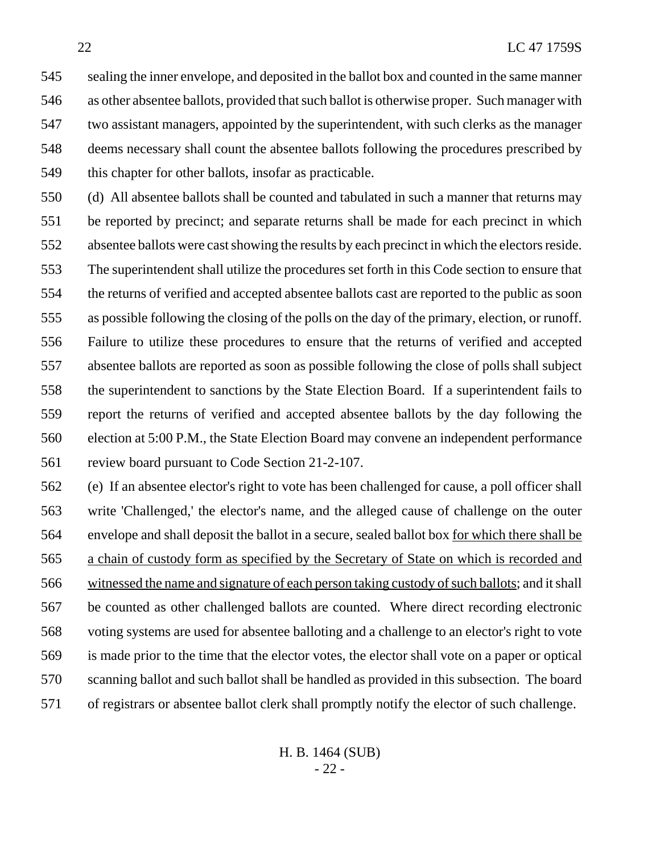sealing the inner envelope, and deposited in the ballot box and counted in the same manner as other absentee ballots, provided that such ballot is otherwise proper. Such manager with two assistant managers, appointed by the superintendent, with such clerks as the manager deems necessary shall count the absentee ballots following the procedures prescribed by this chapter for other ballots, insofar as practicable.

 (d) All absentee ballots shall be counted and tabulated in such a manner that returns may be reported by precinct; and separate returns shall be made for each precinct in which absentee ballots were cast showing the results by each precinct in which the electors reside. The superintendent shall utilize the procedures set forth in this Code section to ensure that the returns of verified and accepted absentee ballots cast are reported to the public as soon as possible following the closing of the polls on the day of the primary, election, or runoff. Failure to utilize these procedures to ensure that the returns of verified and accepted absentee ballots are reported as soon as possible following the close of polls shall subject the superintendent to sanctions by the State Election Board. If a superintendent fails to report the returns of verified and accepted absentee ballots by the day following the election at 5:00 P.M., the State Election Board may convene an independent performance review board pursuant to Code Section 21-2-107.

 (e) If an absentee elector's right to vote has been challenged for cause, a poll officer shall write 'Challenged,' the elector's name, and the alleged cause of challenge on the outer envelope and shall deposit the ballot in a secure, sealed ballot box for which there shall be a chain of custody form as specified by the Secretary of State on which is recorded and witnessed the name and signature of each person taking custody of such ballots; and it shall be counted as other challenged ballots are counted. Where direct recording electronic voting systems are used for absentee balloting and a challenge to an elector's right to vote is made prior to the time that the elector votes, the elector shall vote on a paper or optical scanning ballot and such ballot shall be handled as provided in this subsection. The board of registrars or absentee ballot clerk shall promptly notify the elector of such challenge.

> H. B. 1464 (SUB) - 22 -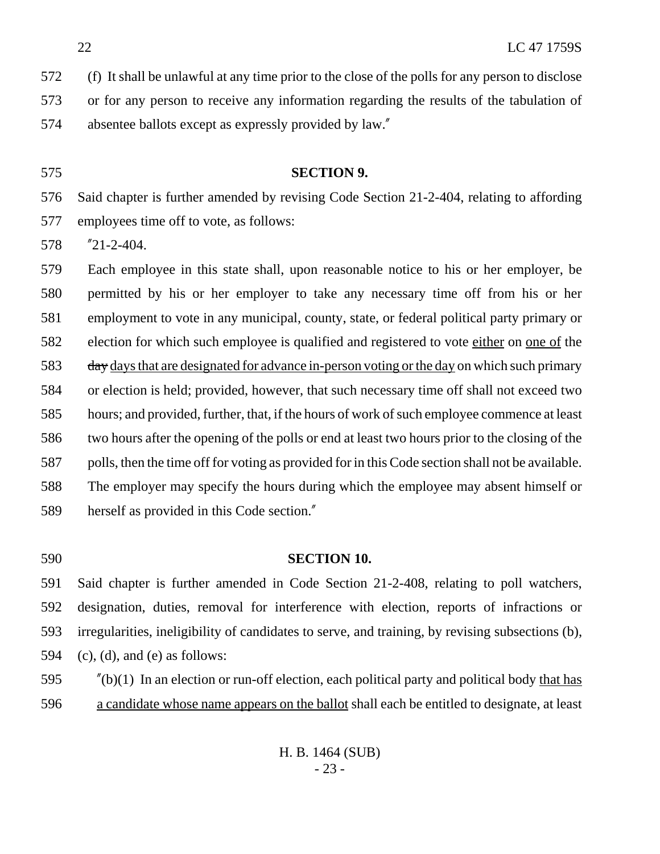(f) It shall be unlawful at any time prior to the close of the polls for any person to disclose

 or for any person to receive any information regarding the results of the tabulation of absentee ballots except as expressly provided by law."

#### **SECTION 9.**

 Said chapter is further amended by revising Code Section 21-2-404, relating to affording employees time off to vote, as follows:

"21-2-404.

 Each employee in this state shall, upon reasonable notice to his or her employer, be permitted by his or her employer to take any necessary time off from his or her employment to vote in any municipal, county, state, or federal political party primary or election for which such employee is qualified and registered to vote either on one of the 583 day days that are designated for advance in-person voting or the day on which such primary or election is held; provided, however, that such necessary time off shall not exceed two hours; and provided, further, that, if the hours of work of such employee commence at least two hours after the opening of the polls or end at least two hours prior to the closing of the polls, then the time off for voting as provided for in this Code section shall not be available. The employer may specify the hours during which the employee may absent himself or herself as provided in this Code section."

#### **SECTION 10.**

 Said chapter is further amended in Code Section 21-2-408, relating to poll watchers, designation, duties, removal for interference with election, reports of infractions or irregularities, ineligibility of candidates to serve, and training, by revising subsections (b), 594 (c), (d), and (e) as follows:

 "(b)(1) In an election or run-off election, each political party and political body that has a candidate whose name appears on the ballot shall each be entitled to designate, at least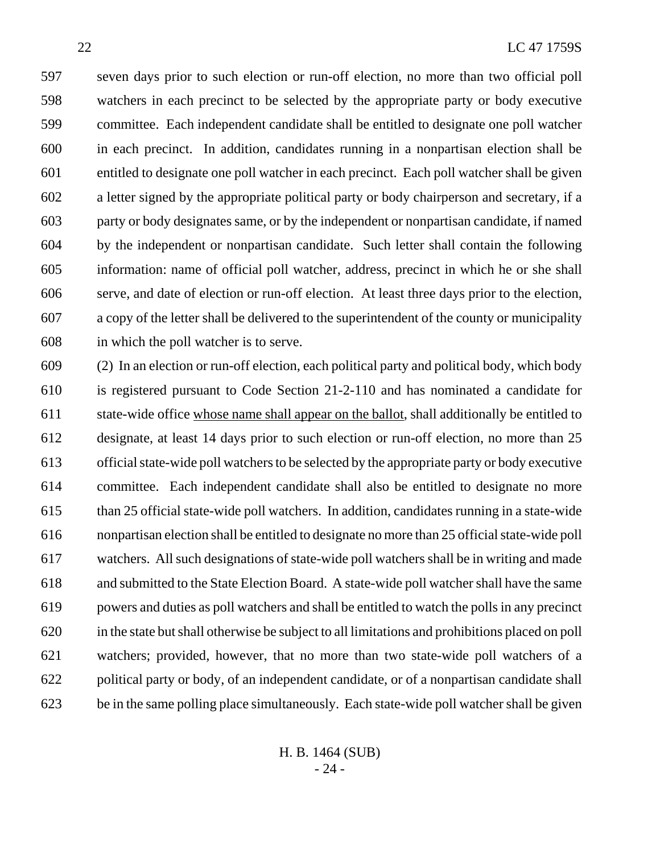seven days prior to such election or run-off election, no more than two official poll watchers in each precinct to be selected by the appropriate party or body executive committee. Each independent candidate shall be entitled to designate one poll watcher in each precinct. In addition, candidates running in a nonpartisan election shall be entitled to designate one poll watcher in each precinct. Each poll watcher shall be given a letter signed by the appropriate political party or body chairperson and secretary, if a party or body designates same, or by the independent or nonpartisan candidate, if named by the independent or nonpartisan candidate. Such letter shall contain the following information: name of official poll watcher, address, precinct in which he or she shall serve, and date of election or run-off election. At least three days prior to the election, a copy of the letter shall be delivered to the superintendent of the county or municipality in which the poll watcher is to serve.

 (2) In an election or run-off election, each political party and political body, which body is registered pursuant to Code Section 21-2-110 and has nominated a candidate for state-wide office whose name shall appear on the ballot, shall additionally be entitled to designate, at least 14 days prior to such election or run-off election, no more than 25 official state-wide poll watchers to be selected by the appropriate party or body executive committee. Each independent candidate shall also be entitled to designate no more than 25 official state-wide poll watchers. In addition, candidates running in a state-wide nonpartisan election shall be entitled to designate no more than 25 official state-wide poll watchers. All such designations of state-wide poll watchers shall be in writing and made and submitted to the State Election Board. A state-wide poll watcher shall have the same powers and duties as poll watchers and shall be entitled to watch the polls in any precinct in the state but shall otherwise be subject to all limitations and prohibitions placed on poll watchers; provided, however, that no more than two state-wide poll watchers of a political party or body, of an independent candidate, or of a nonpartisan candidate shall be in the same polling place simultaneously. Each state-wide poll watcher shall be given

> H. B. 1464 (SUB) - 24 -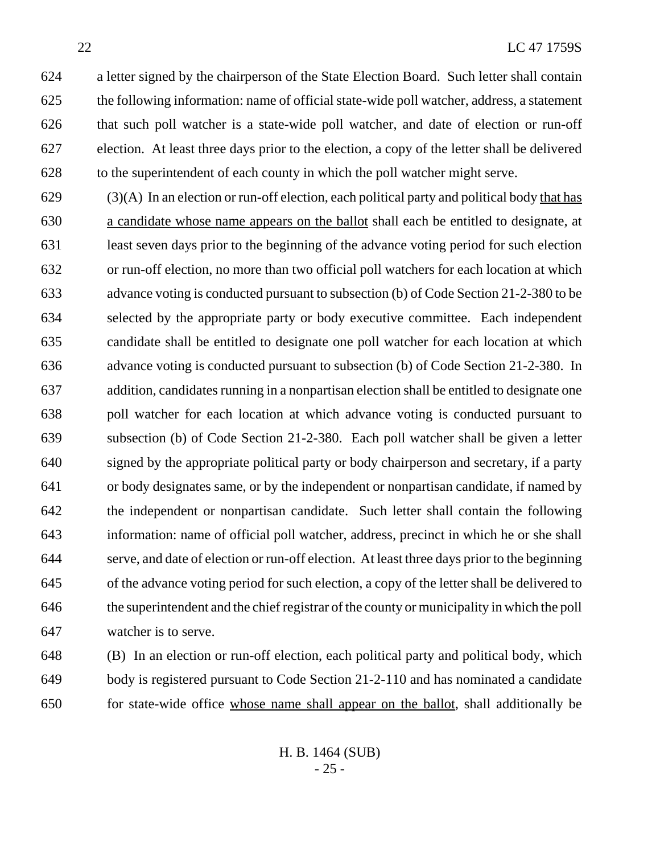a letter signed by the chairperson of the State Election Board. Such letter shall contain the following information: name of official state-wide poll watcher, address, a statement that such poll watcher is a state-wide poll watcher, and date of election or run-off election. At least three days prior to the election, a copy of the letter shall be delivered to the superintendent of each county in which the poll watcher might serve.

 (3)(A) In an election or run-off election, each political party and political body that has a candidate whose name appears on the ballot shall each be entitled to designate, at least seven days prior to the beginning of the advance voting period for such election or run-off election, no more than two official poll watchers for each location at which advance voting is conducted pursuant to subsection (b) of Code Section 21-2-380 to be selected by the appropriate party or body executive committee. Each independent candidate shall be entitled to designate one poll watcher for each location at which advance voting is conducted pursuant to subsection (b) of Code Section 21-2-380. In addition, candidates running in a nonpartisan election shall be entitled to designate one poll watcher for each location at which advance voting is conducted pursuant to subsection (b) of Code Section 21-2-380. Each poll watcher shall be given a letter signed by the appropriate political party or body chairperson and secretary, if a party or body designates same, or by the independent or nonpartisan candidate, if named by the independent or nonpartisan candidate. Such letter shall contain the following information: name of official poll watcher, address, precinct in which he or she shall serve, and date of election or run-off election. At least three days prior to the beginning of the advance voting period for such election, a copy of the letter shall be delivered to the superintendent and the chief registrar of the county or municipality in which the poll watcher is to serve.

 (B) In an election or run-off election, each political party and political body, which body is registered pursuant to Code Section 21-2-110 and has nominated a candidate for state-wide office whose name shall appear on the ballot, shall additionally be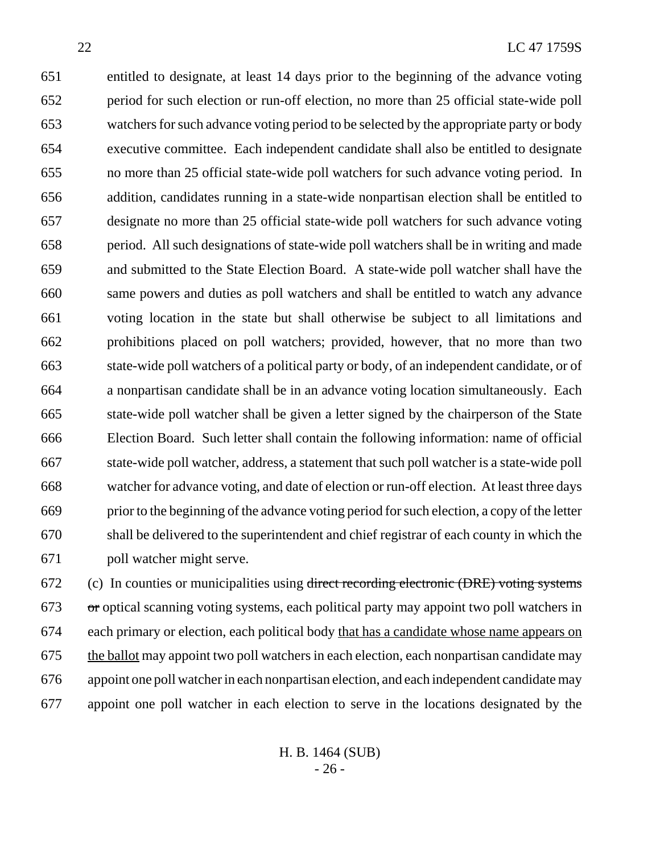entitled to designate, at least 14 days prior to the beginning of the advance voting period for such election or run-off election, no more than 25 official state-wide poll watchers for such advance voting period to be selected by the appropriate party or body executive committee. Each independent candidate shall also be entitled to designate no more than 25 official state-wide poll watchers for such advance voting period. In addition, candidates running in a state-wide nonpartisan election shall be entitled to designate no more than 25 official state-wide poll watchers for such advance voting period. All such designations of state-wide poll watchers shall be in writing and made and submitted to the State Election Board. A state-wide poll watcher shall have the same powers and duties as poll watchers and shall be entitled to watch any advance voting location in the state but shall otherwise be subject to all limitations and prohibitions placed on poll watchers; provided, however, that no more than two state-wide poll watchers of a political party or body, of an independent candidate, or of a nonpartisan candidate shall be in an advance voting location simultaneously. Each state-wide poll watcher shall be given a letter signed by the chairperson of the State Election Board. Such letter shall contain the following information: name of official state-wide poll watcher, address, a statement that such poll watcher is a state-wide poll watcher for advance voting, and date of election or run-off election. At least three days prior to the beginning of the advance voting period for such election, a copy of the letter shall be delivered to the superintendent and chief registrar of each county in which the poll watcher might serve.

 (c) In counties or municipalities using direct recording electronic (DRE) voting systems or optical scanning voting systems, each political party may appoint two poll watchers in each primary or election, each political body that has a candidate whose name appears on 675 the ballot may appoint two poll watchers in each election, each nonpartisan candidate may appoint one poll watcher in each nonpartisan election, and each independent candidate may appoint one poll watcher in each election to serve in the locations designated by the

> H. B. 1464 (SUB) - 26 -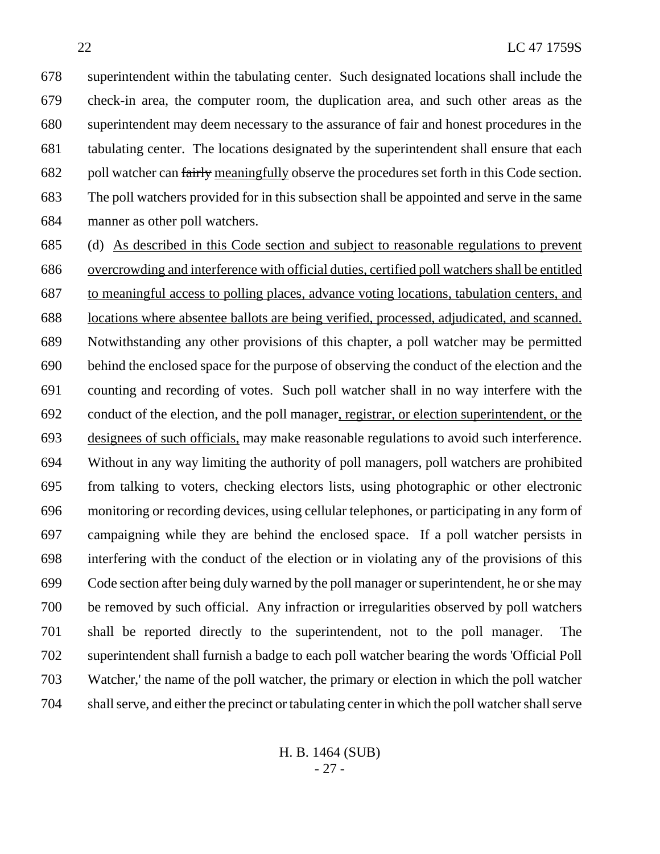superintendent within the tabulating center. Such designated locations shall include the check-in area, the computer room, the duplication area, and such other areas as the superintendent may deem necessary to the assurance of fair and honest procedures in the tabulating center. The locations designated by the superintendent shall ensure that each 682 poll watcher can fairly meaningfully observe the procedures set forth in this Code section. The poll watchers provided for in this subsection shall be appointed and serve in the same manner as other poll watchers.

 (d) As described in this Code section and subject to reasonable regulations to prevent overcrowding and interference with official duties, certified poll watchers shall be entitled to meaningful access to polling places, advance voting locations, tabulation centers, and locations where absentee ballots are being verified, processed, adjudicated, and scanned. Notwithstanding any other provisions of this chapter, a poll watcher may be permitted behind the enclosed space for the purpose of observing the conduct of the election and the counting and recording of votes. Such poll watcher shall in no way interfere with the conduct of the election, and the poll manager, registrar, or election superintendent, or the designees of such officials, may make reasonable regulations to avoid such interference. Without in any way limiting the authority of poll managers, poll watchers are prohibited from talking to voters, checking electors lists, using photographic or other electronic monitoring or recording devices, using cellular telephones, or participating in any form of campaigning while they are behind the enclosed space. If a poll watcher persists in interfering with the conduct of the election or in violating any of the provisions of this Code section after being duly warned by the poll manager or superintendent, he or she may be removed by such official. Any infraction or irregularities observed by poll watchers shall be reported directly to the superintendent, not to the poll manager. The superintendent shall furnish a badge to each poll watcher bearing the words 'Official Poll Watcher,' the name of the poll watcher, the primary or election in which the poll watcher shall serve, and either the precinct or tabulating center in which the poll watcher shall serve

> H. B. 1464 (SUB) - 27 -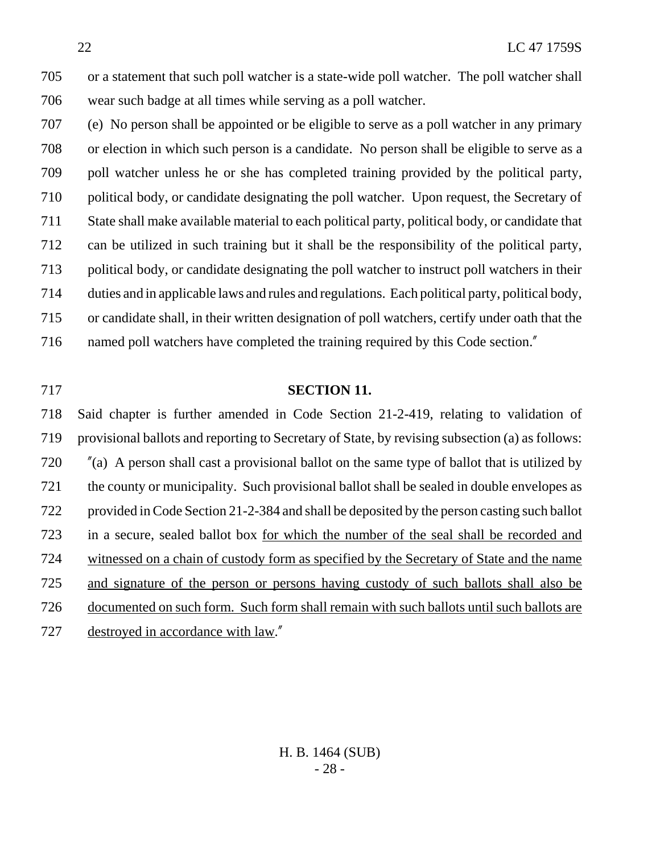or a statement that such poll watcher is a state-wide poll watcher. The poll watcher shall wear such badge at all times while serving as a poll watcher.

 (e) No person shall be appointed or be eligible to serve as a poll watcher in any primary or election in which such person is a candidate. No person shall be eligible to serve as a poll watcher unless he or she has completed training provided by the political party, political body, or candidate designating the poll watcher. Upon request, the Secretary of State shall make available material to each political party, political body, or candidate that can be utilized in such training but it shall be the responsibility of the political party, political body, or candidate designating the poll watcher to instruct poll watchers in their duties and in applicable laws and rules and regulations. Each political party, political body, or candidate shall, in their written designation of poll watchers, certify under oath that the named poll watchers have completed the training required by this Code section."

#### **SECTION 11.**

 Said chapter is further amended in Code Section 21-2-419, relating to validation of provisional ballots and reporting to Secretary of State, by revising subsection (a) as follows: "(a) A person shall cast a provisional ballot on the same type of ballot that is utilized by the county or municipality. Such provisional ballot shall be sealed in double envelopes as provided in Code Section 21-2-384 and shall be deposited by the person casting such ballot in a secure, sealed ballot box for which the number of the seal shall be recorded and witnessed on a chain of custody form as specified by the Secretary of State and the name and signature of the person or persons having custody of such ballots shall also be documented on such form. Such form shall remain with such ballots until such ballots are destroyed in accordance with law."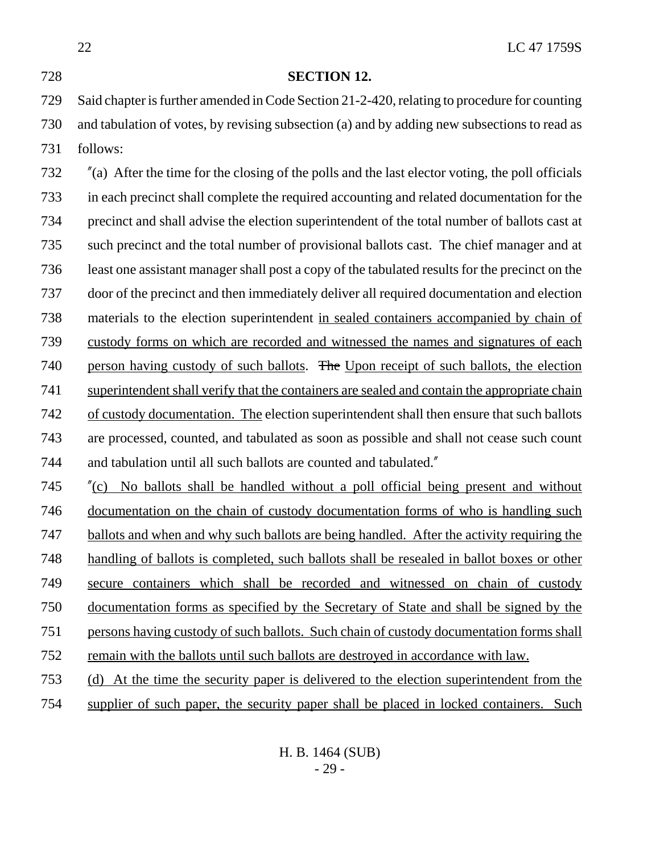22 LC 47 1759S **SECTION 12.** Said chapter is further amended in Code Section 21-2-420, relating to procedure for counting and tabulation of votes, by revising subsection (a) and by adding new subsections to read as follows: "(a) After the time for the closing of the polls and the last elector voting, the poll officials in each precinct shall complete the required accounting and related documentation for the precinct and shall advise the election superintendent of the total number of ballots cast at such precinct and the total number of provisional ballots cast. The chief manager and at least one assistant manager shall post a copy of the tabulated results for the precinct on the door of the precinct and then immediately deliver all required documentation and election materials to the election superintendent in sealed containers accompanied by chain of custody forms on which are recorded and witnessed the names and signatures of each 740 person having custody of such ballots. The Upon receipt of such ballots, the election superintendent shall verify that the containers are sealed and contain the appropriate chain of custody documentation. The election superintendent shall then ensure that such ballots are processed, counted, and tabulated as soon as possible and shall not cease such count and tabulation until all such ballots are counted and tabulated." "(c) No ballots shall be handled without a poll official being present and without documentation on the chain of custody documentation forms of who is handling such ballots and when and why such ballots are being handled. After the activity requiring the handling of ballots is completed, such ballots shall be resealed in ballot boxes or other secure containers which shall be recorded and witnessed on chain of custody documentation forms as specified by the Secretary of State and shall be signed by the persons having custody of such ballots. Such chain of custody documentation forms shall remain with the ballots until such ballots are destroyed in accordance with law. (d) At the time the security paper is delivered to the election superintendent from the supplier of such paper, the security paper shall be placed in locked containers. Such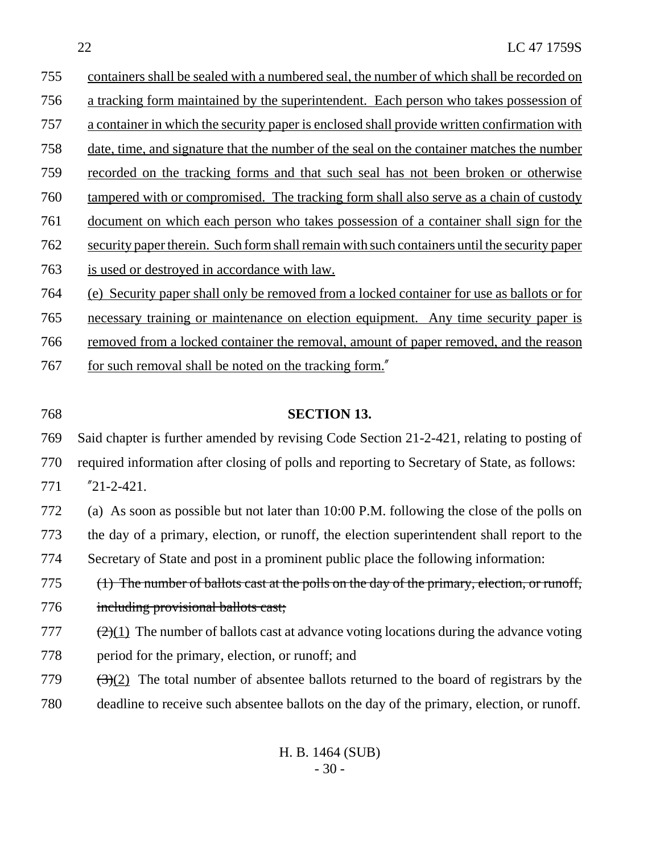| 755 | containers shall be sealed with a numbered seal, the number of which shall be recorded on   |
|-----|---------------------------------------------------------------------------------------------|
| 756 | a tracking form maintained by the superintendent. Each person who takes possession of       |
| 757 | a container in which the security paper is enclosed shall provide written confirmation with |
| 758 | date, time, and signature that the number of the seal on the container matches the number   |
| 759 | recorded on the tracking forms and that such seal has not been broken or otherwise          |
|     |                                                                                             |

- tampered with or compromised. The tracking form shall also serve as a chain of custody
- document on which each person who takes possession of a container shall sign for the
- security paper therein. Such form shall remain with such containers until the security paper
- is used or destroyed in accordance with law.
- (e) Security paper shall only be removed from a locked container for use as ballots or for
- necessary training or maintenance on election equipment. Any time security paper is
- removed from a locked container the removal, amount of paper removed, and the reason
- 767 for such removal shall be noted on the tracking form."
- 

## **SECTION 13.**

Said chapter is further amended by revising Code Section 21-2-421, relating to posting of

- required information after closing of polls and reporting to Secretary of State, as follows:
- "21-2-421.

 (a) As soon as possible but not later than 10:00 P.M. following the close of the polls on the day of a primary, election, or runoff, the election superintendent shall report to the Secretary of State and post in a prominent public place the following information:

- (1) The number of ballots cast at the polls on the day of the primary, election, or runoff,
- including provisional ballots cast;
- 777  $\left(2\right)(1)$  The number of ballots cast at advance voting locations during the advance voting period for the primary, election, or runoff; and
- 779  $(3)(2)$  The total number of absentee ballots returned to the board of registrars by the deadline to receive such absentee ballots on the day of the primary, election, or runoff.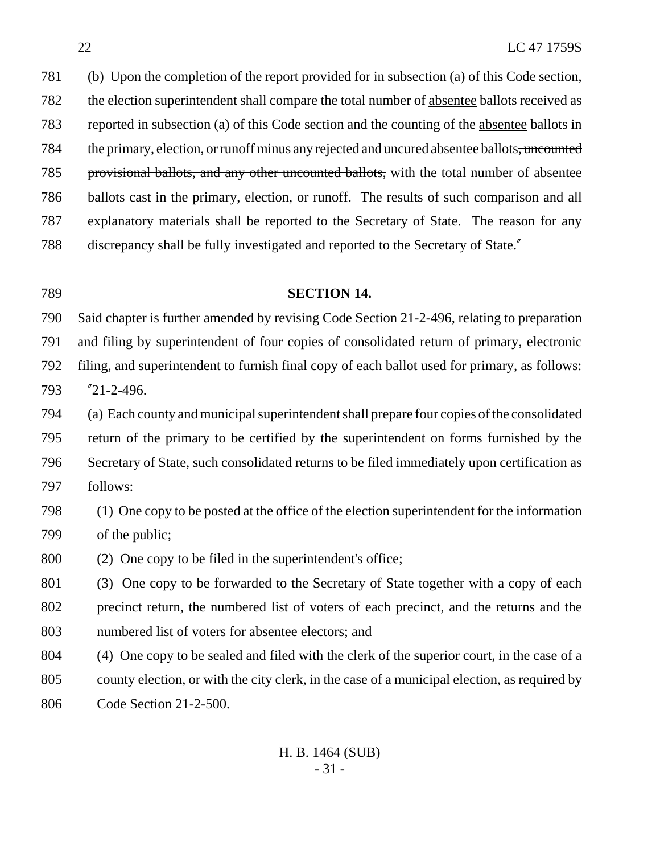(b) Upon the completion of the report provided for in subsection (a) of this Code section, 782 the election superintendent shall compare the total number of <u>absentee</u> ballots received as reported in subsection (a) of this Code section and the counting of the absentee ballots in 784 the primary, election, or runoff minus any rejected and uncured absentee ballots, uncounted provisional ballots, and any other uncounted ballots, with the total number of absentee ballots cast in the primary, election, or runoff. The results of such comparison and all explanatory materials shall be reported to the Secretary of State. The reason for any discrepancy shall be fully investigated and reported to the Secretary of State."

#### **SECTION 14.**

 Said chapter is further amended by revising Code Section 21-2-496, relating to preparation and filing by superintendent of four copies of consolidated return of primary, electronic filing, and superintendent to furnish final copy of each ballot used for primary, as follows: "21-2-496.

 (a) Each county and municipal superintendent shall prepare four copies of the consolidated return of the primary to be certified by the superintendent on forms furnished by the Secretary of State, such consolidated returns to be filed immediately upon certification as follows:

 (1) One copy to be posted at the office of the election superintendent for the information of the public;

(2) One copy to be filed in the superintendent's office;

 (3) One copy to be forwarded to the Secretary of State together with a copy of each precinct return, the numbered list of voters of each precinct, and the returns and the numbered list of voters for absentee electors; and

804 (4) One copy to be sealed and filed with the clerk of the superior court, in the case of a county election, or with the city clerk, in the case of a municipal election, as required by Code Section 21-2-500.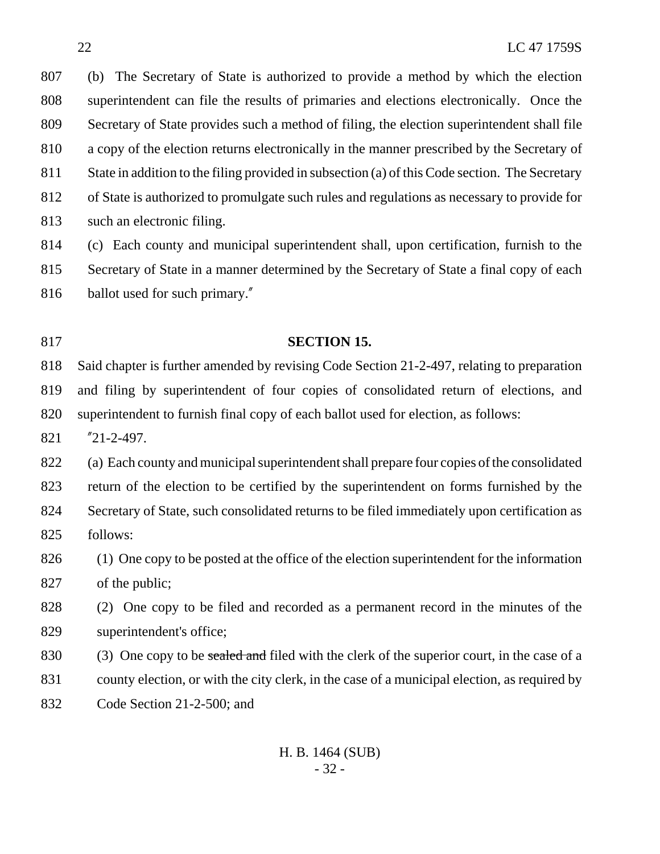(b) The Secretary of State is authorized to provide a method by which the election superintendent can file the results of primaries and elections electronically. Once the Secretary of State provides such a method of filing, the election superintendent shall file a copy of the election returns electronically in the manner prescribed by the Secretary of State in addition to the filing provided in subsection (a) of this Code section. The Secretary of State is authorized to promulgate such rules and regulations as necessary to provide for such an electronic filing.

(c) Each county and municipal superintendent shall, upon certification, furnish to the

 Secretary of State in a manner determined by the Secretary of State a final copy of each ballot used for such primary."

## **SECTION 15.**

 Said chapter is further amended by revising Code Section 21-2-497, relating to preparation and filing by superintendent of four copies of consolidated return of elections, and superintendent to furnish final copy of each ballot used for election, as follows:

"21-2-497.

 (a) Each county and municipal superintendent shall prepare four copies of the consolidated return of the election to be certified by the superintendent on forms furnished by the Secretary of State, such consolidated returns to be filed immediately upon certification as follows:

 (1) One copy to be posted at the office of the election superintendent for the information of the public;

 (2) One copy to be filed and recorded as a permanent record in the minutes of the superintendent's office;

830 (3) One copy to be sealed and filed with the clerk of the superior court, in the case of a county election, or with the city clerk, in the case of a municipal election, as required by

Code Section 21-2-500; and

## H. B. 1464 (SUB) - 32 -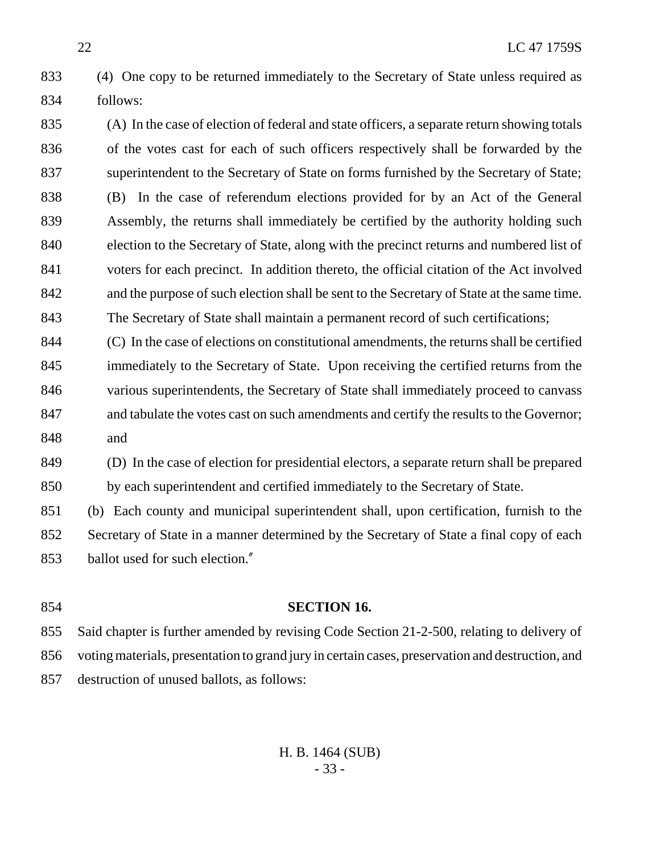- (4) One copy to be returned immediately to the Secretary of State unless required as follows:
- (A) In the case of election of federal and state officers, a separate return showing totals of the votes cast for each of such officers respectively shall be forwarded by the superintendent to the Secretary of State on forms furnished by the Secretary of State; (B) In the case of referendum elections provided for by an Act of the General Assembly, the returns shall immediately be certified by the authority holding such election to the Secretary of State, along with the precinct returns and numbered list of voters for each precinct. In addition thereto, the official citation of the Act involved and the purpose of such election shall be sent to the Secretary of State at the same time. The Secretary of State shall maintain a permanent record of such certifications;
- (C) In the case of elections on constitutional amendments, the returns shall be certified immediately to the Secretary of State. Upon receiving the certified returns from the various superintendents, the Secretary of State shall immediately proceed to canvass and tabulate the votes cast on such amendments and certify the results to the Governor; and
- (D) In the case of election for presidential electors, a separate return shall be prepared by each superintendent and certified immediately to the Secretary of State.
- (b) Each county and municipal superintendent shall, upon certification, furnish to the Secretary of State in a manner determined by the Secretary of State a final copy of each ballot used for such election."
- **SECTION 16.** Said chapter is further amended by revising Code Section 21-2-500, relating to delivery of voting materials, presentation to grand jury in certain cases, preservation and destruction, and destruction of unused ballots, as follows: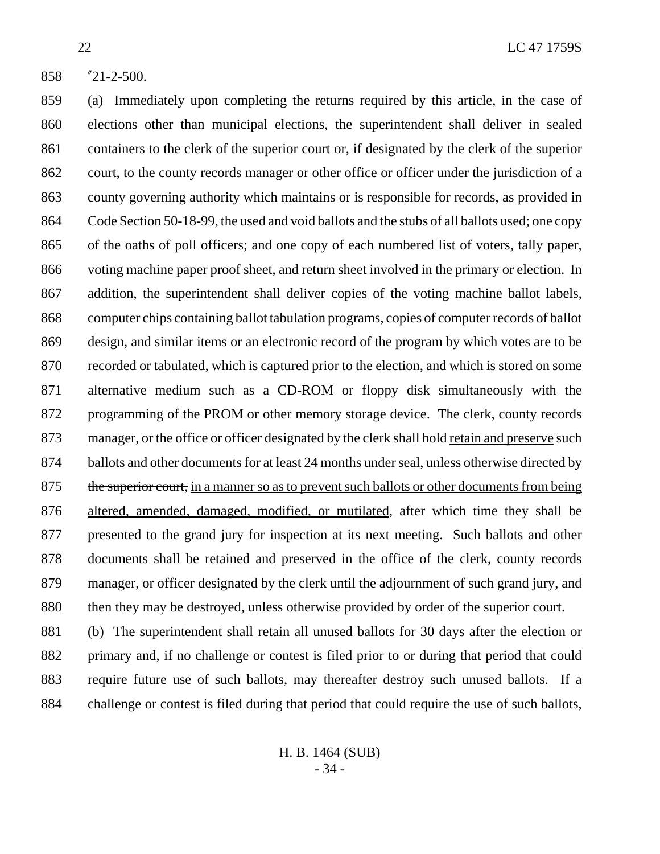"21-2-500.

 (a) Immediately upon completing the returns required by this article, in the case of elections other than municipal elections, the superintendent shall deliver in sealed containers to the clerk of the superior court or, if designated by the clerk of the superior court, to the county records manager or other office or officer under the jurisdiction of a county governing authority which maintains or is responsible for records, as provided in Code Section 50-18-99, the used and void ballots and the stubs of all ballots used; one copy of the oaths of poll officers; and one copy of each numbered list of voters, tally paper, voting machine paper proof sheet, and return sheet involved in the primary or election. In addition, the superintendent shall deliver copies of the voting machine ballot labels, computer chips containing ballot tabulation programs, copies of computer records of ballot design, and similar items or an electronic record of the program by which votes are to be recorded or tabulated, which is captured prior to the election, and which is stored on some alternative medium such as a CD-ROM or floppy disk simultaneously with the programming of the PROM or other memory storage device. The clerk, county records 873 manager, or the office or officer designated by the clerk shall hold retain and preserve such 874 ballots and other documents for at least 24 months under seal, unless otherwise directed by 875 the superior court, in a manner so as to prevent such ballots or other documents from being altered, amended, damaged, modified, or mutilated, after which time they shall be presented to the grand jury for inspection at its next meeting. Such ballots and other documents shall be retained and preserved in the office of the clerk, county records manager, or officer designated by the clerk until the adjournment of such grand jury, and 880 then they may be destroyed, unless otherwise provided by order of the superior court. (b) The superintendent shall retain all unused ballots for 30 days after the election or

 primary and, if no challenge or contest is filed prior to or during that period that could require future use of such ballots, may thereafter destroy such unused ballots. If a challenge or contest is filed during that period that could require the use of such ballots,

> H. B. 1464 (SUB) - 34 -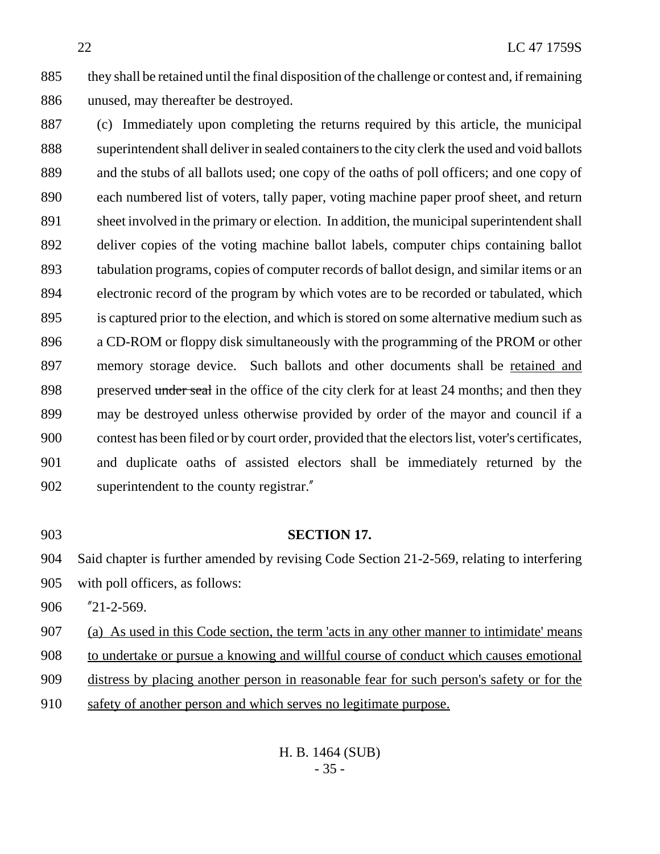they shall be retained until the final disposition of the challenge or contest and, if remaining unused, may thereafter be destroyed.

 (c) Immediately upon completing the returns required by this article, the municipal superintendent shall deliver in sealed containers to the city clerk the used and void ballots and the stubs of all ballots used; one copy of the oaths of poll officers; and one copy of each numbered list of voters, tally paper, voting machine paper proof sheet, and return sheet involved in the primary or election. In addition, the municipal superintendent shall deliver copies of the voting machine ballot labels, computer chips containing ballot tabulation programs, copies of computer records of ballot design, and similar items or an electronic record of the program by which votes are to be recorded or tabulated, which is captured prior to the election, and which is stored on some alternative medium such as a CD-ROM or floppy disk simultaneously with the programming of the PROM or other 897 memory storage device. Such ballots and other documents shall be retained and 898 preserved under seal in the office of the city clerk for at least 24 months; and then they may be destroyed unless otherwise provided by order of the mayor and council if a contest has been filed or by court order, provided that the electors list, voter's certificates, and duplicate oaths of assisted electors shall be immediately returned by the superintendent to the county registrar."

#### **SECTION 17.**

Said chapter is further amended by revising Code Section 21-2-569, relating to interfering

with poll officers, as follows:

"21-2-569.

(a) As used in this Code section, the term 'acts in any other manner to intimidate' means

to undertake or pursue a knowing and willful course of conduct which causes emotional

distress by placing another person in reasonable fear for such person's safety or for the

safety of another person and which serves no legitimate purpose.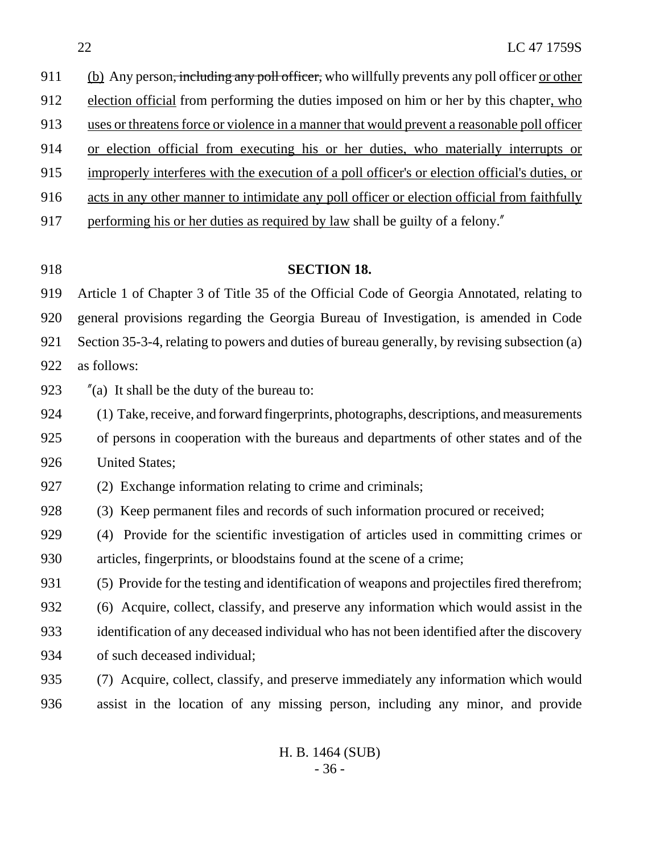912 election official from performing the duties imposed on him or her by this chapter, who uses or threatens force or violence in a manner that would prevent a reasonable poll officer or election official from executing his or her duties, who materially interrupts or improperly interferes with the execution of a poll officer's or election official's duties, or acts in any other manner to intimidate any poll officer or election official from faithfully performing his or her duties as required by law shall be guilty of a felony." **SECTION 18.** Article 1 of Chapter 3 of Title 35 of the Official Code of Georgia Annotated, relating to general provisions regarding the Georgia Bureau of Investigation, is amended in Code Section 35-3-4, relating to powers and duties of bureau generally, by revising subsection (a) as follows: "(a) It shall be the duty of the bureau to: (1) Take, receive, and forward fingerprints, photographs, descriptions, and measurements of persons in cooperation with the bureaus and departments of other states and of the United States; (2) Exchange information relating to crime and criminals; (3) Keep permanent files and records of such information procured or received; (4) Provide for the scientific investigation of articles used in committing crimes or articles, fingerprints, or bloodstains found at the scene of a crime; (5) Provide for the testing and identification of weapons and projectiles fired therefrom; (6) Acquire, collect, classify, and preserve any information which would assist in the identification of any deceased individual who has not been identified after the discovery of such deceased individual; (7) Acquire, collect, classify, and preserve immediately any information which would assist in the location of any missing person, including any minor, and provide

911 (b) Any person<del>, including any poll officer,</del> who willfully prevents any poll officer <u>or other</u>

H. B. 1464 (SUB) - 36 -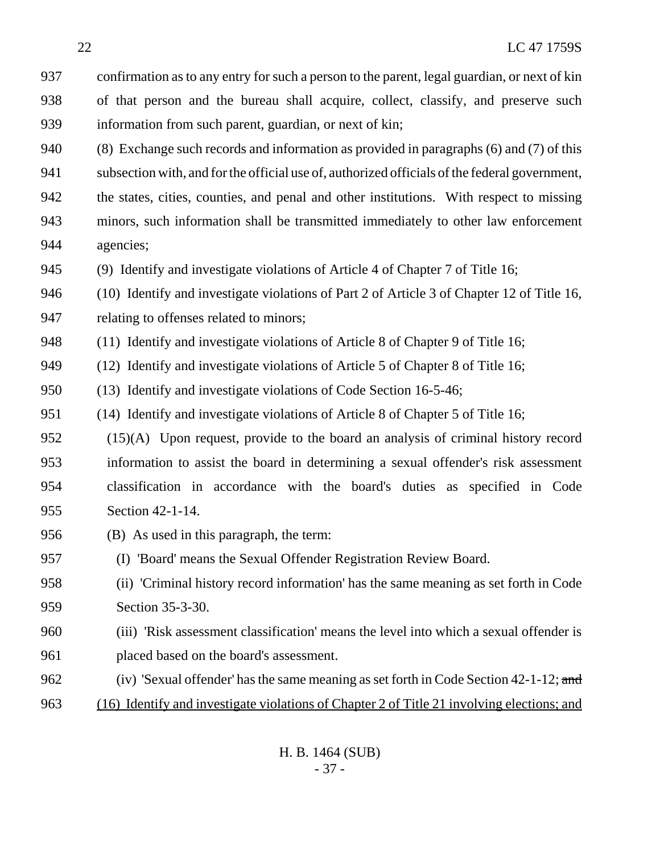confirmation as to any entry for such a person to the parent, legal guardian, or next of kin of that person and the bureau shall acquire, collect, classify, and preserve such information from such parent, guardian, or next of kin;

 (8) Exchange such records and information as provided in paragraphs (6) and (7) of this subsection with, and for the official use of, authorized officials of the federal government, the states, cities, counties, and penal and other institutions. With respect to missing minors, such information shall be transmitted immediately to other law enforcement agencies;

(9) Identify and investigate violations of Article 4 of Chapter 7 of Title 16;

 (10) Identify and investigate violations of Part 2 of Article 3 of Chapter 12 of Title 16, relating to offenses related to minors;

(11) Identify and investigate violations of Article 8 of Chapter 9 of Title 16;

(12) Identify and investigate violations of Article 5 of Chapter 8 of Title 16;

(13) Identify and investigate violations of Code Section 16-5-46;

(14) Identify and investigate violations of Article 8 of Chapter 5 of Title 16;

 (15)(A) Upon request, provide to the board an analysis of criminal history record information to assist the board in determining a sexual offender's risk assessment classification in accordance with the board's duties as specified in Code Section 42-1-14.

(B) As used in this paragraph, the term:

(I) 'Board' means the Sexual Offender Registration Review Board.

 (ii) 'Criminal history record information' has the same meaning as set forth in Code Section 35-3-30.

 (iii) 'Risk assessment classification' means the level into which a sexual offender is placed based on the board's assessment.

962 (iv) 'Sexual offender' has the same meaning as set forth in Code Section  $42-1-12$ ; and (16) Identify and investigate violations of Chapter 2 of Title 21 involving elections; and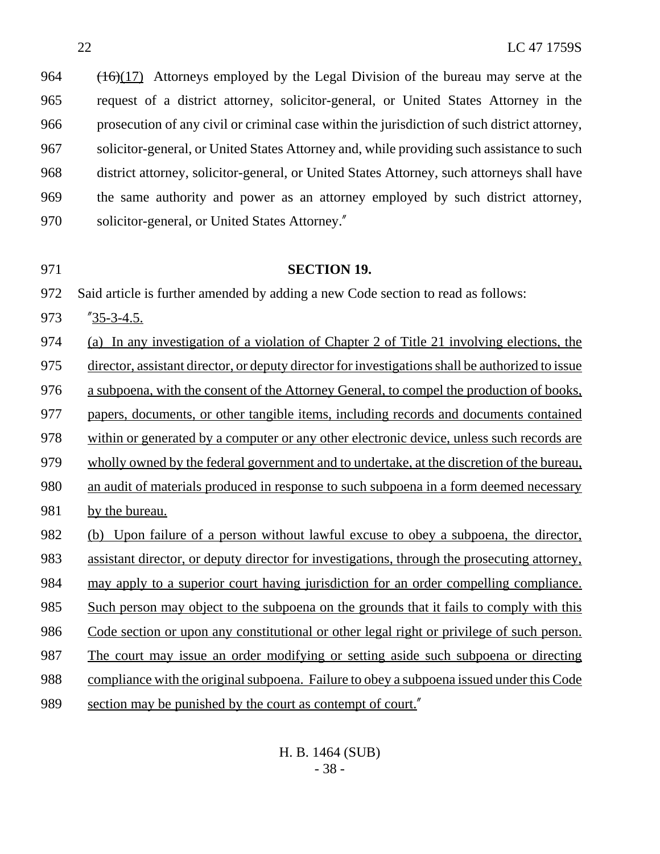$(16)(17)$  Attorneys employed by the Legal Division of the bureau may serve at the request of a district attorney, solicitor-general, or United States Attorney in the prosecution of any civil or criminal case within the jurisdiction of such district attorney, solicitor-general, or United States Attorney and, while providing such assistance to such district attorney, solicitor-general, or United States Attorney, such attorneys shall have the same authority and power as an attorney employed by such district attorney, solicitor-general, or United States Attorney."

#### **SECTION 19.**

Said article is further amended by adding a new Code section to read as follows:

"35-3-4.5.

(a) In any investigation of a violation of Chapter 2 of Title 21 involving elections, the

director, assistant director, or deputy director for investigations shall be authorized to issue

a subpoena, with the consent of the Attorney General, to compel the production of books,

papers, documents, or other tangible items, including records and documents contained

within or generated by a computer or any other electronic device, unless such records are

wholly owned by the federal government and to undertake, at the discretion of the bureau,

an audit of materials produced in response to such subpoena in a form deemed necessary

by the bureau.

 (b) Upon failure of a person without lawful excuse to obey a subpoena, the director, assistant director, or deputy director for investigations, through the prosecuting attorney, may apply to a superior court having jurisdiction for an order compelling compliance. Such person may object to the subpoena on the grounds that it fails to comply with this Code section or upon any constitutional or other legal right or privilege of such person. The court may issue an order modifying or setting aside such subpoena or directing

compliance with the original subpoena. Failure to obey a subpoena issued under this Code

section may be punished by the court as contempt of court."